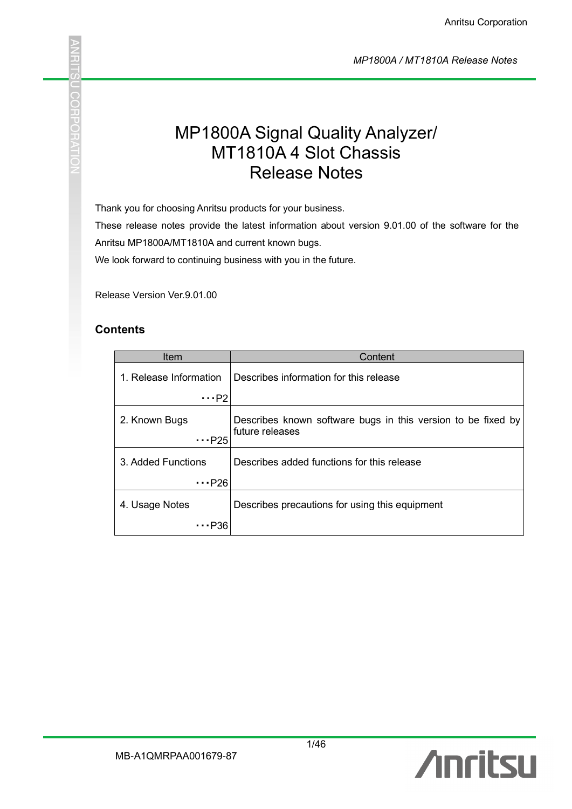*MP1800A / MT1810A Release Notes*

# MP1800A Signal Quality Analyzer/ MT1810A 4 Slot Chassis Release Notes

Thank you for choosing Anritsu products for your business.

These release notes provide the latest information about version 9.01.00 of the software for the Anritsu MP1800A/MT1810A and current known bugs.

We look forward to continuing business with you in the future.

Release Version Ver.9.01.00

#### **Contents**

j.

**COHAC** 

| Item                          | Content                                                                         |
|-------------------------------|---------------------------------------------------------------------------------|
| 1. Release Information        | Describes information for this release                                          |
| $\cdots$ P2                   |                                                                                 |
| 2. Known Bugs<br>$\cdots$ P25 | Describes known software bugs in this version to be fixed by<br>future releases |
| 3. Added Functions            | Describes added functions for this release                                      |
| $\cdots$ P26                  |                                                                                 |
| 4. Usage Notes                | Describes precautions for using this equipment                                  |
| P36                           |                                                                                 |

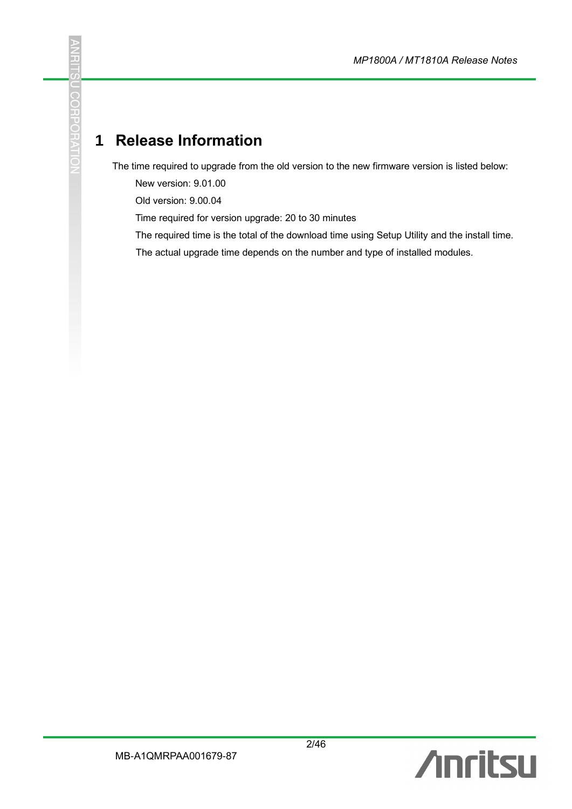# **1 Release Information**

**RITS** 

**U CORPORATIO** 

The time required to upgrade from the old version to the new firmware version is listed below:

New version: 9.01.00

Old version: 9.00.04

Time required for version upgrade: 20 to 30 minutes

The required time is the total of the download time using Setup Utility and the install time.

The actual upgrade time depends on the number and type of installed modules.

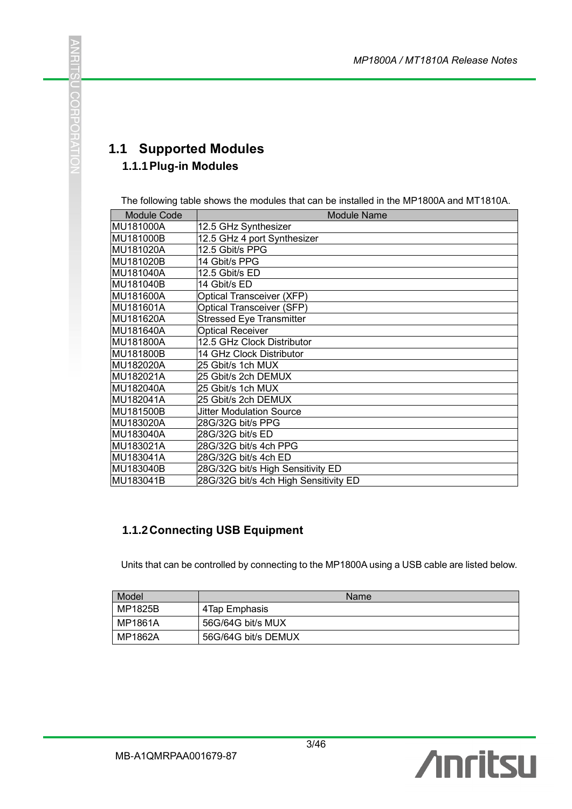# CONFORTATIO

**ANRITS** 

#### **1.1 Supported Modules 1.1.1Plug-in Modules**

The following table shows the modules that can be installed in the MP1800A and MT1810A.

| <b>Module Code</b> | <b>Module Name</b>                    |
|--------------------|---------------------------------------|
| MU181000A          | 12.5 GHz Synthesizer                  |
| MU181000B          | 12.5 GHz 4 port Synthesizer           |
| MU181020A          | 12.5 Gbit/s PPG                       |
| MU181020B          | 14 Gbit/s PPG                         |
| MU181040A          | 12.5 Gbit/s ED                        |
| MU181040B          | 14 Gbit/s ED                          |
| MU181600A          | Optical Transceiver (XFP)             |
| MU181601A          | Optical Transceiver (SFP)             |
| MU181620A          | <b>Stressed Eye Transmitter</b>       |
| MU181640A          | <b>Optical Receiver</b>               |
| MU181800A          | 12.5 GHz Clock Distributor            |
| MU181800B          | 14 GHz Clock Distributor              |
| MU182020A          | 25 Gbit/s 1ch MUX                     |
| MU182021A          | 25 Gbit/s 2ch DEMUX                   |
| <b>MU182040A</b>   | 25 Gbit/s 1ch MUX                     |
| MU182041A          | 25 Gbit/s 2ch DEMUX                   |
| MU181500B          | <b>Jitter Modulation Source</b>       |
| MU183020A          | 28G/32G bit/s PPG                     |
| MU183040A          | 28G/32G bit/s ED                      |
| MU183021A          | 28G/32G bit/s 4ch PPG                 |
| MU183041A          | 28G/32G bit/s 4ch ED                  |
| MU183040B          | 28G/32G bit/s High Sensitivity ED     |
| MU183041B          | 28G/32G bit/s 4ch High Sensitivity ED |

#### **1.1.2Connecting USB Equipment**

Units that can be controlled by connecting to the MP1800A using a USB cable are listed below.

| Model     | Name                |
|-----------|---------------------|
| MP1825B   | 4Tap Emphasis       |
| l MP1861A | 56G/64G bit/s MUX   |
| MP1862A   | 56G/64G bit/s DEMUX |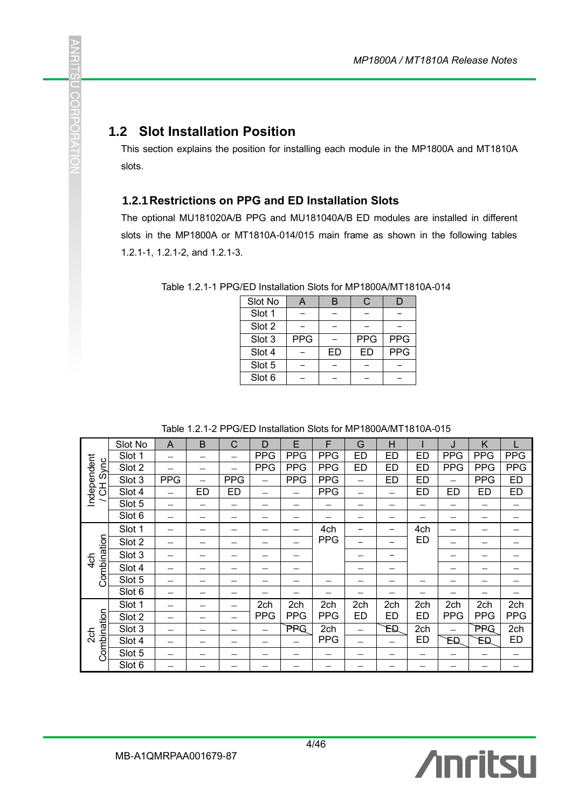#### **1.2 Slot Installation Position**

J.

n CCT

てつエン

This section explains the position for installing each module in the MP1800A and MT1810A slots.

#### **1.2.1Restrictions on PPG and ED Installation Slots**

The optional MU181020A/B PPG and MU181040A/B ED modules are installed in different slots in the MP1800A or MT1810A-014/015 main frame as shown in the following tables 1.2.1-1, 1.2.1-2, and 1.2.1-3.

| Slot No |            | B  |            |            |
|---------|------------|----|------------|------------|
| Slot 1  |            |    |            |            |
| Slot 2  |            |    |            |            |
| Slot 3  | <b>PPG</b> |    | <b>PPG</b> | <b>PPG</b> |
| Slot 4  |            | ED | <b>ED</b>  | PPG        |
| Slot 5  |            |    |            |            |
| Slot 6  |            |    |            |            |

Table 1.2.1-1 PPG/ED Installation Slots for MP1800A/MT1810A-014

Table 1.2.1-2 PPG/ED Installation Slots for MP1800A/MT1810A-015

|                               | Slot No | A          | B  | C          | D          | E          | F          | G         | н         |     | J          | K          |            |
|-------------------------------|---------|------------|----|------------|------------|------------|------------|-----------|-----------|-----|------------|------------|------------|
|                               | Slot 1  |            |    |            | <b>PPG</b> | <b>PPG</b> | <b>PPG</b> | <b>ED</b> | <b>ED</b> | ED  | <b>PPG</b> | <b>PPG</b> | <b>PPG</b> |
| Sync                          | Slot 2  |            |    |            | <b>PPG</b> | <b>PPG</b> | <b>PPG</b> | ED        | <b>ED</b> | ED  | <b>PPG</b> | <b>PPG</b> | <b>PPG</b> |
|                               | Slot 3  | <b>PPG</b> |    | <b>PPG</b> |            | <b>PPG</b> | <b>PPG</b> |           | <b>ED</b> | ED  |            | <b>PPG</b> | <b>ED</b>  |
| Independent<br>공              | Slot 4  |            | ED | <b>ED</b>  |            |            | <b>PPG</b> |           |           | ED  | ED         | <b>ED</b>  | ED         |
|                               | Slot 5  |            |    |            |            |            |            |           |           |     |            |            |            |
|                               | Slot 6  |            |    |            |            |            |            |           |           |     |            |            |            |
|                               | Slot 1  |            |    |            |            |            | 4ch        |           |           | 4ch |            |            |            |
|                               | Slot 2  |            |    |            |            |            | <b>PPG</b> |           |           | ED  |            |            |            |
| Combination<br>4 <sub>0</sub> | Slot 3  |            |    |            |            |            |            |           |           |     |            |            |            |
|                               | Slot 4  |            |    |            |            |            |            |           |           |     |            |            |            |
|                               | Slot 5  |            |    |            |            |            |            |           |           |     |            |            |            |
|                               | Slot 6  |            |    |            |            |            |            |           |           |     |            |            |            |
|                               | Slot 1  |            |    |            | 2ch        | 2ch        | 2ch        | 2ch       | 2ch       | 2ch | 2ch        | 2ch        | 2ch        |
|                               | Slot 2  |            |    |            | <b>PPG</b> | <b>PPG</b> | <b>PPG</b> | ED        | ED        | ED  | <b>PPG</b> | <b>PPG</b> | <b>PPG</b> |
|                               | Slot 3  |            |    |            |            | PPG        | 2ch        |           | ED        | 2ch | —          | PPG        | 2ch        |
| 2 <sub>ch</sub>               | Slot 4  |            |    |            |            |            | <b>PPG</b> |           |           | ED  | EĐ         | EĐ         | <b>ED</b>  |
| Combination                   | Slot 5  |            |    |            |            |            |            |           |           |     |            |            |            |
|                               | Slot 6  |            |    |            |            |            |            |           |           |     |            |            |            |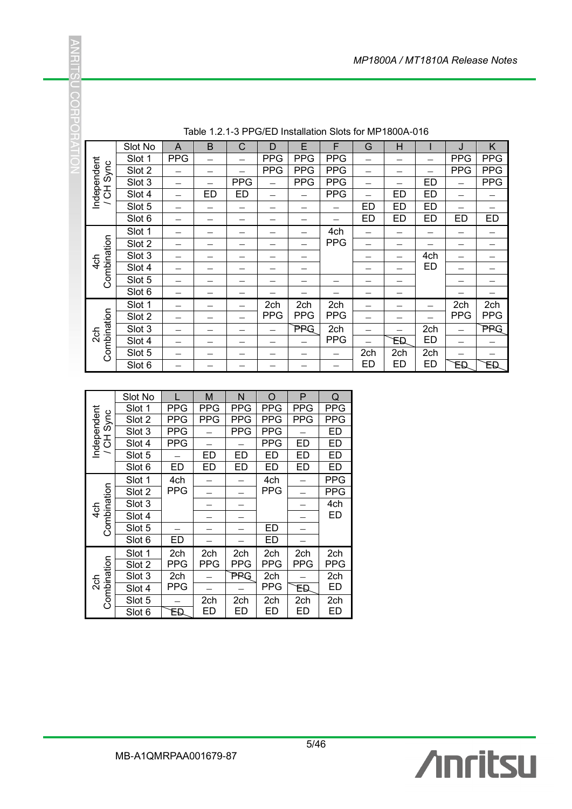|                          | Slot No | A          | B         | С          | D          | Е          | F          | G         | H         |           | J          | K          |
|--------------------------|---------|------------|-----------|------------|------------|------------|------------|-----------|-----------|-----------|------------|------------|
|                          | Slot 1  | <b>PPG</b> |           |            | <b>PPG</b> | <b>PPG</b> | <b>PPG</b> |           |           |           | <b>PPG</b> | <b>PPG</b> |
| Sync                     | Slot 2  |            |           |            | <b>PPG</b> | <b>PPG</b> | <b>PPG</b> |           |           |           | <b>PPG</b> | <b>PPG</b> |
|                          | Slot 3  |            |           | <b>PPG</b> |            | <b>PPG</b> | <b>PPG</b> |           |           | <b>ED</b> |            | <b>PPG</b> |
| Independent<br>공         | Slot 4  |            | <b>ED</b> | <b>ED</b>  |            |            | <b>PPG</b> |           | <b>ED</b> | <b>ED</b> |            |            |
| $\overline{\phantom{0}}$ | Slot 5  |            |           |            |            |            |            | ED        | <b>ED</b> | <b>ED</b> |            |            |
|                          | Slot 6  |            |           |            |            |            |            | <b>ED</b> | ED        | <b>ED</b> | <b>ED</b>  | <b>ED</b>  |
|                          | Slot 1  |            |           |            |            |            | 4ch        |           |           |           |            |            |
|                          | Slot 2  |            |           |            |            |            | <b>PPG</b> |           |           |           |            |            |
| Combination              | Slot 3  |            |           |            |            |            |            |           |           | 4ch       |            |            |
| $4$ ch                   | Slot 4  |            |           |            |            |            |            |           |           | ED        |            |            |
|                          | Slot 5  |            |           |            |            |            |            |           |           |           |            |            |
|                          | Slot 6  |            |           |            |            |            |            |           |           |           |            |            |
|                          | Slot 1  |            |           |            | 2ch        | 2ch        | 2ch        |           |           |           | 2ch        | 2ch        |
|                          | Slot 2  |            |           |            | <b>PPG</b> | <b>PPG</b> | <b>PPG</b> |           |           |           | <b>PPG</b> | <b>PPG</b> |
|                          | Slot 3  |            |           |            |            | PPG        | 2ch        |           |           | 2ch       |            | PPG        |
| 2ch                      | Slot 4  |            |           |            |            |            | <b>PPG</b> |           | ΈĐ        | <b>ED</b> |            |            |
| Combination              | Slot 5  |            |           |            |            |            |            | 2ch       | 2ch       | 2ch       |            |            |
|                          | Slot 6  |            |           |            |            |            |            | ED        | <b>ED</b> | <b>ED</b> | EĐ         | EĐ         |

Table 1.2.1-3 PPG/ED Installation Slots for MP1800A-016

|                    | Slot No |            | М          | N          | O          | P          | Q          |
|--------------------|---------|------------|------------|------------|------------|------------|------------|
|                    | Slot 1  | PPG        | <b>PPG</b> | <b>PPG</b> | <b>PPG</b> | <b>PPG</b> | PPG        |
| Sync               | Slot 2  | PPG        | <b>PPG</b> | PPG        | <b>PPG</b> | <b>PPG</b> | PPG        |
|                    | Slot 3  | PPG        |            | PPG        | <b>PPG</b> |            | ED         |
| ndependent<br>공    | Slot 4  | <b>PPG</b> |            |            | <b>PPG</b> | <b>ED</b>  | <b>ED</b>  |
|                    | Slot 5  |            | ED         | ED         | ED         | ED         | <b>ED</b>  |
|                    | Slot 6  | ED         | ED         | ED         | ED         | ED         | ED         |
|                    | Slot 1  | 4ch        |            |            | 4ch        |            | PPG        |
|                    | Slot 2  | PPG        |            |            | <b>PPG</b> |            | PPG        |
| Combination        | Slot 3  |            |            |            |            |            | 4ch        |
| $4$ ch             | Slot 4  |            |            |            |            |            | <b>ED</b>  |
|                    | Slot 5  |            |            |            | ED         |            |            |
|                    | Slot 6  | ED         |            |            | ED         |            |            |
|                    | Slot 1  | 2ch        | 2ch        | 2ch        | 2ch        | 2ch        | 2ch        |
|                    | Slot 2  | PPG        | PPG        | PPG        | PPG        | PPG        | <b>PPG</b> |
|                    | Slot 3  | 2ch        |            | PRG        | 2ch        |            | 2ch        |
| Combination<br>2ch | Slot 4  | PPG        |            |            | <b>PPG</b> | FЮ         | <b>ED</b>  |
|                    | Slot 5  |            | 2ch        | 2ch        | 2ch        | 2ch        | 2ch        |
|                    | Slot 6  | ЕĐ         | ED         | ED         | ED         | ED         | ED         |

**ANRITS** 

CONFORMIC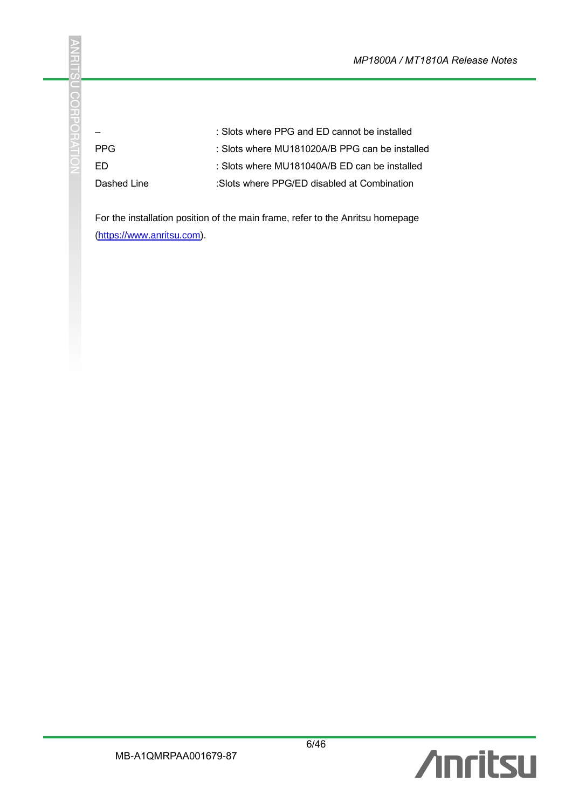|             | : Slots where PPG and ED cannot be installed   |
|-------------|------------------------------------------------|
| <b>PPG</b>  | : Slots where MU181020A/B PPG can be installed |
| FD.         | : Slots where MU181040A/B ED can be installed  |
| Dashed Line | :Slots where PPG/ED disabled at Combination    |

For the installation position of the main frame, refer to the Anritsu homepage [\(https://www.anritsu.com\)](https://www.anritsu.com/).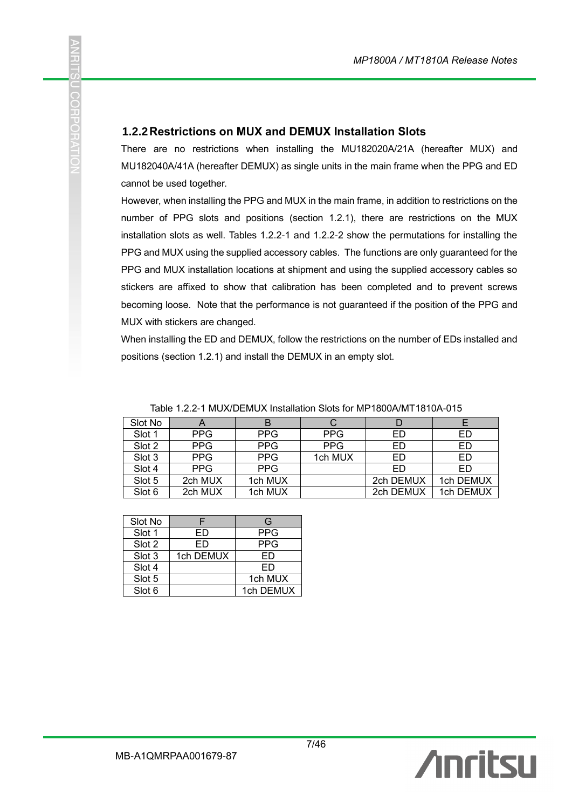#### **1.2.2Restrictions on MUX and DEMUX Installation Slots**

U COHUNA

There are no restrictions when installing the MU182020A/21A (hereafter MUX) and MU182040A/41A (hereafter DEMUX) as single units in the main frame when the PPG and ED cannot be used together.

However, when installing the PPG and MUX in the main frame, in addition to restrictions on the number of PPG slots and positions (section 1.2.1), there are restrictions on the MUX installation slots as well. Tables 1.2.2-1 and 1.2.2-2 show the permutations for installing the PPG and MUX using the supplied accessory cables. The functions are only guaranteed for the PPG and MUX installation locations at shipment and using the supplied accessory cables so stickers are affixed to show that calibration has been completed and to prevent screws becoming loose. Note that the performance is not guaranteed if the position of the PPG and MUX with stickers are changed.

When installing the ED and DEMUX, follow the restrictions on the number of EDs installed and positions (section 1.2.1) and install the DEMUX in an empty slot.

| Slot No |            |            |            |           |           |
|---------|------------|------------|------------|-----------|-----------|
| Slot 1  | <b>PPG</b> | <b>PPG</b> | <b>PPG</b> | ED        | ED        |
| Slot 2  | <b>PPG</b> | <b>PPG</b> | <b>PPG</b> | ED        | ED        |
| Slot 3  | <b>PPG</b> | <b>PPG</b> | 1ch MUX    | ED        | ED        |
| Slot 4  | <b>PPG</b> | <b>PPG</b> |            | ED        | ED        |
| Slot 5  | 2ch MUX    | 1ch MUX    |            | 2ch DEMUX | 1ch DEMUX |
| Slot 6  | 2ch MUX    | 1ch MUX    |            | 2ch DEMUX | 1ch DEMUX |

Table 1.2.2-1 MUX/DEMUX Installation Slots for MP1800A/MT1810A-015

| Slot No |           | G          |
|---------|-----------|------------|
| Slot 1  | FD        | <b>PPG</b> |
| Slot 2  | FD        | PPG        |
| Slot 3  | 1ch DEMUX | FD         |
| Slot 4  |           | FD         |
| Slot 5  |           | 1ch MUX    |
| Slot 6  |           | 1ch DEMUX  |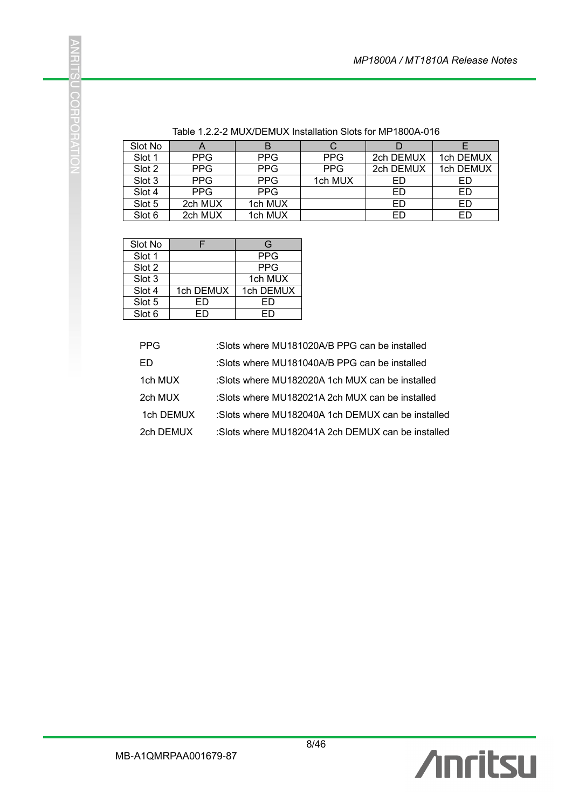| Slot No | $\boldsymbol{\mathsf{A}}$ |            |            |           |           |
|---------|---------------------------|------------|------------|-----------|-----------|
| Slot 1  | <b>PPG</b>                | <b>PPG</b> | <b>PPG</b> | 2ch DEMUX | 1ch DEMUX |
| Slot 2  | <b>PPG</b>                | <b>PPG</b> | <b>PPG</b> | 2ch DEMUX | 1ch DEMUX |
| Slot 3  | <b>PPG</b>                | <b>PPG</b> | 1ch MUX    | ED        | ED        |
| Slot 4  | <b>PPG</b>                | <b>PPG</b> |            | ED        | ED        |
| Slot 5  | 2ch MUX                   | 1ch MUX    |            | ED        | ED        |
| Slot 6  | 2ch MUX                   | 1ch MUX    |            | ED        | ED        |

Table 1.2.2-2 MUX/DEMUX Installation Slots for MP1800A-016

| Slot No |           | G          |
|---------|-----------|------------|
| Slot 1  |           | <b>PPG</b> |
| Slot 2  |           | <b>PPG</b> |
| Slot 3  |           | 1ch MUX    |
| Slot 4  | 1ch DEMUX | 1ch DEMUX  |
| Slot 5  | FD        | FD         |
| Slot 6  | -0        |            |

| <b>PPG</b> | :Slots where MU181020A/B PPG can be installed     |
|------------|---------------------------------------------------|
| FD         | :Slots where MU181040A/B PPG can be installed     |
| 1ch MUX    | :Slots where MU182020A 1ch MUX can be installed   |
| 2ch MUX    | :Slots where MU182021A 2ch MUX can be installed   |
| 1ch DEMUX  | :Slots where MU182040A 1ch DEMUX can be installed |
| 2ch DEMUX  | :Slots where MU182041A 2ch DEMUX can be installed |

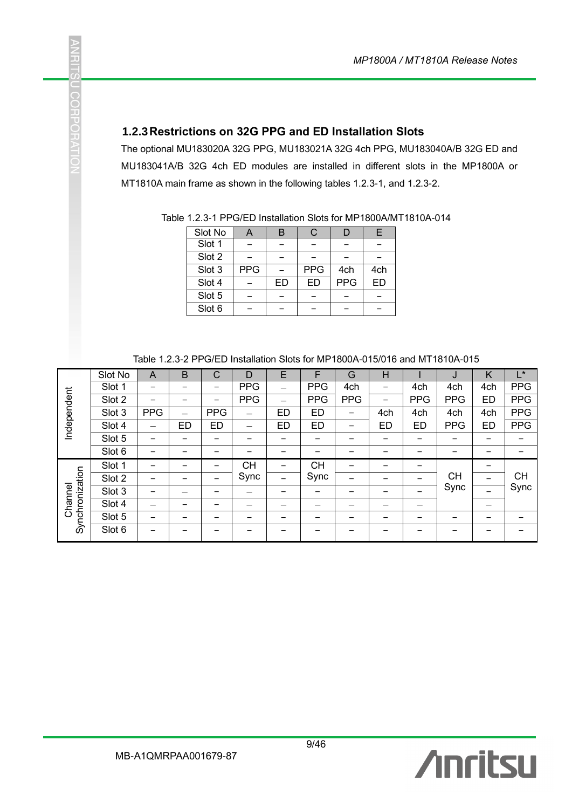#### **1.2.3Restrictions on 32G PPG and ED Installation Slots**

j.

O COHPO

The optional MU183020A 32G PPG, MU183021A 32G 4ch PPG, MU183040A/B 32G ED and MU183041A/B 32G 4ch ED modules are installed in different slots in the MP1800A or MT1810A main frame as shown in the following tables 1.2.3-1, and 1.2.3-2.

| Slot No | A          |    | C.         |            | E   |
|---------|------------|----|------------|------------|-----|
| Slot 1  |            |    |            |            |     |
| Slot 2  |            |    |            |            |     |
| Slot 3  | <b>PPG</b> |    | <b>PPG</b> | 4ch        | 4ch |
| Slot 4  |            | ED | ED         | <b>PPG</b> | ED  |
| Slot 5  |            |    |            |            |     |
| Slot 6  |            |    |            |            |     |

Table 1.2.3-1 PPG/ED Installation Slots for MP1800A/MT1810A-014

| Table 1.2.3-2 PPG/ED Installation Slots for MP1800A-015/016 and MT1810A-015 |  |
|-----------------------------------------------------------------------------|--|
|-----------------------------------------------------------------------------|--|

|                 | Slot No | A          | B         | C          | D          | E         | F          | G                        | н         |            | J          | Κ         | L*         |
|-----------------|---------|------------|-----------|------------|------------|-----------|------------|--------------------------|-----------|------------|------------|-----------|------------|
|                 | Slot 1  |            |           |            | <b>PPG</b> | —         | <b>PPG</b> | 4ch                      | —         | 4ch        | 4ch        | 4ch       | <b>PPG</b> |
|                 | Slot 2  |            |           | -          | <b>PPG</b> | -         | <b>PPG</b> | <b>PPG</b>               | -         | <b>PPG</b> | <b>PPG</b> | <b>ED</b> | <b>PPG</b> |
|                 | Slot 3  | <b>PPG</b> | —         | <b>PPG</b> | —          | ED        | <b>ED</b>  |                          | 4ch       | 4ch        | 4ch        | 4ch       | <b>PPG</b> |
| Independent     | Slot 4  |            | <b>ED</b> | <b>ED</b>  |            | <b>ED</b> | ED         | $\overline{\phantom{0}}$ | <b>ED</b> | ED         | <b>PPG</b> | <b>ED</b> | <b>PPG</b> |
|                 | Slot 5  |            |           |            |            |           |            |                          |           |            |            |           |            |
|                 | Slot 6  |            |           |            |            |           |            |                          |           |            |            |           |            |
|                 | Slot 1  |            |           |            | <b>CH</b>  |           | <b>CH</b>  |                          |           |            |            | -         |            |
|                 | Slot 2  |            |           |            | Sync       | -         | Sync       |                          |           | -          | <b>CH</b>  |           | <b>CH</b>  |
|                 | Slot 3  |            |           |            |            |           |            |                          |           |            | Sync       |           | Sync       |
| Channel         | Slot 4  |            |           |            |            |           |            |                          |           |            |            |           |            |
| Synchronization | Slot 5  |            |           |            |            |           |            |                          |           |            |            |           |            |
|                 | Slot 6  |            |           |            |            |           |            |                          |           |            |            |           |            |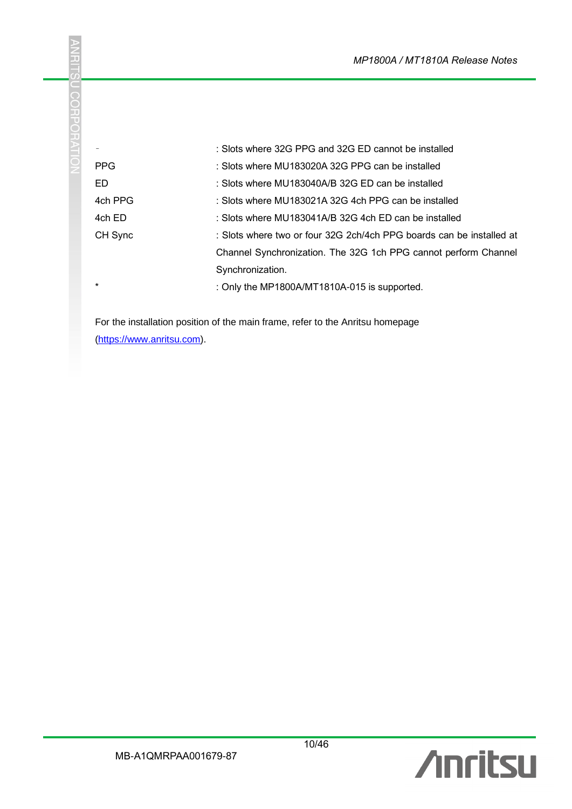|            | : Slots where 32G PPG and 32G ED cannot be installed                 |
|------------|----------------------------------------------------------------------|
| <b>PPG</b> | : Slots where MU183020A 32G PPG can be installed                     |
| ED.        | : Slots where MU183040A/B 32G ED can be installed                    |
| 4ch PPG    | : Slots where MU183021A 32G 4ch PPG can be installed                 |
| 4ch ED     | : Slots where MU183041A/B 32G 4ch ED can be installed                |
| CH Sync    | : Slots where two or four 32G 2ch/4ch PPG boards can be installed at |
|            | Channel Synchronization. The 32G 1ch PPG cannot perform Channel      |
|            | Synchronization.                                                     |
| $\star$    | : Only the MP1800A/MT1810A-015 is supported.                         |

For the installation position of the main frame, refer to the Anritsu homepage [\(https://www.anritsu.com\)](https://www.anritsu.com/).

**ANRITSU CORPORATIO**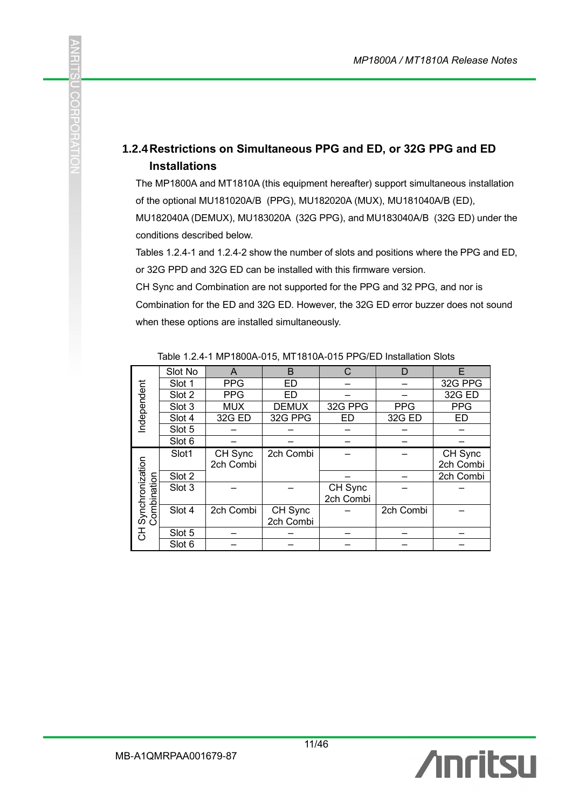#### **1.2.4Restrictions on Simultaneous PPG and ED, or 32G PPG and ED Installations**

The MP1800A and MT1810A (this equipment hereafter) support simultaneous installation of the optional MU181020A/B (PPG), MU182020A (MUX), MU181040A/B (ED),

MU182040A (DEMUX), MU183020A (32G PPG), and MU183040A/B (32G ED) under the conditions described below.

Tables 1.2.4-1 and 1.2.4-2 show the number of slots and positions where the PPG and ED, or 32G PPD and 32G ED can be installed with this firmware version.

CH Sync and Combination are not supported for the PPG and 32 PPG, and nor is

Combination for the ED and 32G ED. However, the 32G ED error buzzer does not sound when these options are installed simultaneously.

|                                | Slot No | A          | B            | C         | D          | F          |
|--------------------------------|---------|------------|--------------|-----------|------------|------------|
|                                | Slot 1  | <b>PPG</b> | ED           |           |            | 32G PPG    |
|                                | Slot 2  | <b>PPG</b> | ED           |           |            | 32G ED     |
| Independent                    | Slot 3  | <b>MUX</b> | <b>DEMUX</b> | 32G PPG   | <b>PPG</b> | <b>PPG</b> |
|                                | Slot 4  | 32G ED     | 32G PPG      | <b>ED</b> | 32G ED     | <b>ED</b>  |
|                                | Slot 5  |            |              |           |            |            |
|                                | Slot 6  |            |              |           |            |            |
|                                | Slot1   | CH Sync    | 2ch Combi    |           |            | CH Sync    |
|                                |         | 2ch Combi  |              |           |            | 2ch Combi  |
|                                | Slot 2  |            |              |           |            | 2ch Combi  |
|                                | Slot 3  |            |              | CH Sync   |            |            |
|                                |         |            |              | 2ch Combi |            |            |
| Synchronization<br>Combination | Slot 4  | 2ch Combi  | CH Sync      |           | 2ch Combi  |            |
|                                |         |            | 2ch Combi    |           |            |            |
| 공                              | Slot 5  |            |              |           |            |            |
|                                | Slot 6  |            |              |           |            |            |

Table 1.2.4-1 MP1800A-015, MT1810A-015 PPG/ED Installation Slots



COHN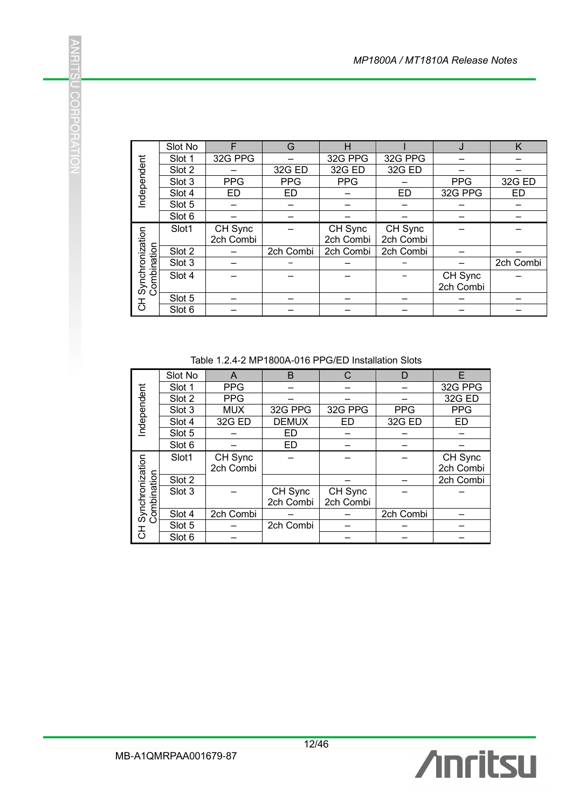|                                              | Slot No | F          | G          | н          |           | J          | Κ         |
|----------------------------------------------|---------|------------|------------|------------|-----------|------------|-----------|
|                                              | Slot 1  | 32G PPG    |            | 32G PPG    | 32G PPG   |            |           |
|                                              | Slot 2  |            | 32G ED     | 32G ED     | 32G ED    |            |           |
|                                              | Slot 3  | <b>PPG</b> | <b>PPG</b> | <b>PPG</b> |           | <b>PPG</b> | 32G ED    |
| Independent                                  | Slot 4  | <b>ED</b>  | ED         |            | <b>ED</b> | 32G PPG    | <b>ED</b> |
|                                              | Slot 5  |            |            |            |           |            |           |
|                                              | Slot 6  |            |            |            |           |            |           |
|                                              | Slot1   | CH Sync    |            | CH Sync    | CH Sync   |            |           |
|                                              |         | 2ch Combi  |            | 2ch Combi  | 2ch Combi |            |           |
|                                              | Slot 2  |            | 2ch Combi  | 2ch Combi  | 2ch Combi |            |           |
| Synchronization<br>Combination<br>ombination | Slot 3  |            |            |            |           |            | 2ch Combi |
|                                              | Slot 4  |            |            |            |           | CH Sync    |           |
|                                              |         |            |            |            |           | 2ch Combi  |           |
| $\overline{5}$                               | Slot 5  |            |            |            |           |            |           |
|                                              | Slot 6  |            |            |            |           |            |           |

#### Table 1.2.4-2 MP1800A-016 PPG/ED Installation Slots

|                                   | Slot 1                      | 32G PPG                                                  | $\equiv$                 | 32G PPG                  | 32G PPG                  |                      |
|-----------------------------------|-----------------------------|----------------------------------------------------------|--------------------------|--------------------------|--------------------------|----------------------|
| Independent                       | Slot 2                      |                                                          | 32G ED                   | 32G ED                   | 32G ED                   |                      |
|                                   | Slot 3                      | <b>PPG</b>                                               | <b>PPG</b>               | <b>PPG</b>               |                          | <b>PPG</b>           |
|                                   | Slot 4                      | <b>ED</b>                                                | <b>ED</b>                | $\overline{\phantom{0}}$ | $E$ D                    | 32G PPG              |
|                                   | Slot $\overline{5}$         | -                                                        |                          |                          |                          |                      |
|                                   | Slot 6                      |                                                          |                          |                          |                          |                      |
|                                   | Slot1                       | CH Sync                                                  |                          | CH Sync                  | CH Sync                  |                      |
|                                   |                             | 2ch Combi                                                |                          | 2ch Combi                | 2ch Combi                |                      |
|                                   | Slot 2                      |                                                          | 2ch Combi                | 2ch Combi                | 2ch Combi                |                      |
|                                   | Slot 3                      | —                                                        |                          |                          | <sup>-</sup>             |                      |
|                                   | Slot 4                      |                                                          |                          |                          |                          | CH Sync              |
| CH Synchronization<br>Combination |                             |                                                          |                          |                          |                          | 2ch Combi            |
|                                   | Slot 5                      | $\equiv$                                                 | $\overline{\phantom{0}}$ |                          | —                        |                      |
|                                   | $\overline{\text{S}}$ lot 6 |                                                          | ÷.                       |                          |                          | L.                   |
|                                   | Slot No                     | Table 1.2.4-2 MP1800A-016 PPG/ED Installation Slots<br>A | $\mathsf B$              | $\mathsf C$              | D                        | E                    |
| Independent                       | Slot 1                      | <b>PPG</b>                                               | $\equiv$                 |                          |                          | 32G PPG              |
|                                   | Slot <sub>2</sub>           | <b>PPG</b>                                               | $\overline{\phantom{0}}$ |                          | $\overline{a}$           | 32G ED               |
|                                   | Slot 3                      | <b>MUX</b>                                               | 32G PPG                  | 32G PPG                  | <b>PPG</b>               | <b>PPG</b>           |
|                                   | Slot 4                      | 32G ED                                                   | <b>DEMUX</b>             | ED                       | 32G ED                   | <b>ED</b>            |
|                                   | Slot 5<br>Slot 6            | $\overline{\phantom{0}}$                                 | <b>ED</b><br><b>ED</b>   | $\equiv$                 |                          |                      |
|                                   |                             |                                                          |                          |                          |                          |                      |
|                                   | Slot1                       | CH Sync<br>2ch Combi                                     |                          |                          |                          | CH Sync<br>2ch Combi |
|                                   | Slot 2                      |                                                          |                          |                          |                          | 2ch Combi            |
| Combination                       | $\overline{\text{Slot}}$ 3  |                                                          | CH Sync                  | CH Sync                  |                          |                      |
|                                   |                             |                                                          | 2ch Combi                | 2ch Combi                |                          |                      |
|                                   | Slot 4                      | 2ch Combi                                                |                          | $-$                      | 2ch Combi                |                      |
| CH Synchronization                | Slot 5                      |                                                          | 2ch Combi                | L.                       |                          |                      |
|                                   | Slot 6                      |                                                          |                          | $\overline{\phantom{0}}$ | $\overline{\phantom{0}}$ | $\equiv$             |
|                                   |                             |                                                          |                          |                          |                          |                      |
|                                   |                             |                                                          |                          |                          |                          |                      |

**ANRITSU CORPORATIO**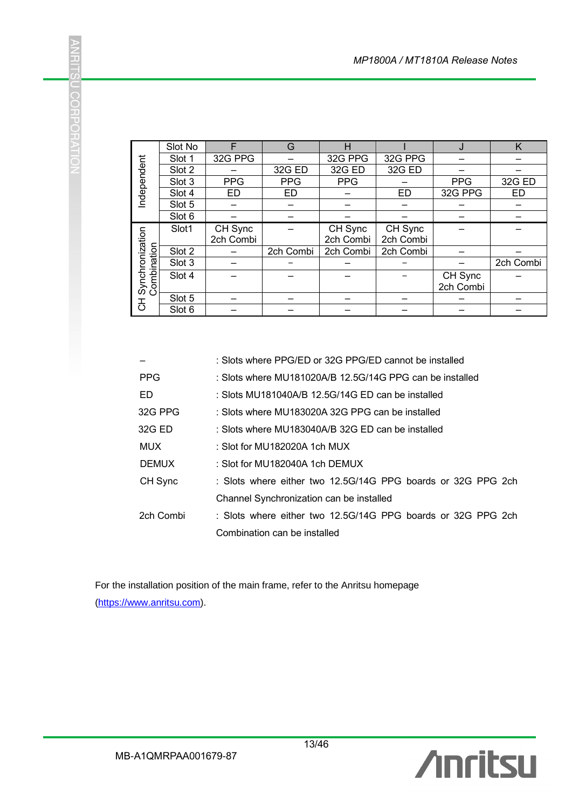|                                              | Slot No | F          | G          |            |           |            | K         |
|----------------------------------------------|---------|------------|------------|------------|-----------|------------|-----------|
|                                              | Slot 1  | 32G PPG    |            | 32G PPG    | 32G PPG   |            |           |
|                                              | Slot 2  |            | 32G ED     | 32G ED     | 32G ED    |            |           |
|                                              | Slot 3  | <b>PPG</b> | <b>PPG</b> | <b>PPG</b> |           | <b>PPG</b> | 32G ED    |
| Independent                                  | Slot 4  | ED         | ED         |            | <b>ED</b> | 32G PPG    | <b>ED</b> |
|                                              | Slot 5  |            |            |            |           |            |           |
|                                              | Slot 6  |            |            |            |           |            |           |
|                                              | Slot1   | CH Sync    |            | CH Sync    | CH Sync   |            |           |
|                                              |         | 2ch Combi  |            | 2ch Combi  | 2ch Combi |            |           |
|                                              | Slot 2  |            | 2ch Combi  | 2ch Combi  | 2ch Combi |            |           |
| Synchronization<br>Combination<br>ombination | Slot 3  |            |            |            |           |            | 2ch Combi |
|                                              | Slot 4  |            |            |            |           | CH Sync    |           |
|                                              |         |            |            |            |           | 2ch Combi  |           |
|                                              | Slot 5  |            |            |            |           |            |           |
| 공                                            | Slot 6  |            |            |            |           |            |           |

|                                                                                                                                              |                                                                                                                                                                                                                                                                                                                                                                                                                                                                                            | Slot 1               | 32G PPG              |            | 32G PPG              | 32G PPG              |                      |        |
|----------------------------------------------------------------------------------------------------------------------------------------------|--------------------------------------------------------------------------------------------------------------------------------------------------------------------------------------------------------------------------------------------------------------------------------------------------------------------------------------------------------------------------------------------------------------------------------------------------------------------------------------------|----------------------|----------------------|------------|----------------------|----------------------|----------------------|--------|
|                                                                                                                                              |                                                                                                                                                                                                                                                                                                                                                                                                                                                                                            | Slot 2               |                      | 32G ED     | 32G ED               | 32G ED               |                      |        |
| Independent                                                                                                                                  |                                                                                                                                                                                                                                                                                                                                                                                                                                                                                            | Slot 3               | <b>PPG</b>           | <b>PPG</b> | <b>PPG</b>           |                      | <b>PPG</b>           | 32G    |
|                                                                                                                                              |                                                                                                                                                                                                                                                                                                                                                                                                                                                                                            | Slot 4               | <b>ED</b>            | ED.        |                      | <b>ED</b>            | 32G PPG              | EГ     |
|                                                                                                                                              |                                                                                                                                                                                                                                                                                                                                                                                                                                                                                            | Slot 5               |                      |            |                      |                      |                      |        |
|                                                                                                                                              |                                                                                                                                                                                                                                                                                                                                                                                                                                                                                            | Slot 6               |                      |            |                      |                      |                      |        |
|                                                                                                                                              |                                                                                                                                                                                                                                                                                                                                                                                                                                                                                            | Slot1                | CH Sync<br>2ch Combi |            | CH Sync<br>2ch Combi | CH Sync<br>2ch Combi |                      |        |
|                                                                                                                                              |                                                                                                                                                                                                                                                                                                                                                                                                                                                                                            | Slot 2               |                      | 2ch Combi  | 2ch Combi            | 2ch Combi            |                      |        |
|                                                                                                                                              |                                                                                                                                                                                                                                                                                                                                                                                                                                                                                            | Slot 3               |                      |            |                      |                      |                      | 2ch Co |
|                                                                                                                                              | Synchronization<br>Combination                                                                                                                                                                                                                                                                                                                                                                                                                                                             | Slot 4               |                      |            |                      |                      | CH Sync<br>2ch Combi |        |
|                                                                                                                                              |                                                                                                                                                                                                                                                                                                                                                                                                                                                                                            | Slot 5               |                      |            |                      |                      |                      |        |
|                                                                                                                                              | $\overline{5}$                                                                                                                                                                                                                                                                                                                                                                                                                                                                             | Slot 6               |                      |            |                      |                      | ÷.                   |        |
|                                                                                                                                              | ED.<br>: Slots MU181040A/B 12.5G/14G ED can be installed<br>32G PPG<br>: Slots where MU183020A 32G PPG can be installed<br>32G ED<br>: Slots where MU183040A/B 32G ED can be installed<br><b>MUX</b><br>: Slot for MU182020A 1ch MUX<br><b>DEMUX</b><br>: Slot for MU182040A 1ch DEMUX<br>CH Sync<br>: Slots where either two 12.5G/14G PPG boards or 32G PPG 2ch<br>Channel Synchronization can be installed<br>2ch Combi<br>: Slots where either two 12.5G/14G PPG boards or 32G PPG 2ch |                      |                      |            |                      |                      |                      |        |
| Combination can be installed<br>For the installation position of the main frame, refer to the Anritsu homepage<br>(https://www.anritsu.com). |                                                                                                                                                                                                                                                                                                                                                                                                                                                                                            |                      |                      |            |                      |                      |                      |        |
|                                                                                                                                              |                                                                                                                                                                                                                                                                                                                                                                                                                                                                                            | MB-A1QMRPAA001679-87 |                      | 13/46      |                      |                      | Ameiher              |        |



**ANRITSU CORPORATIO**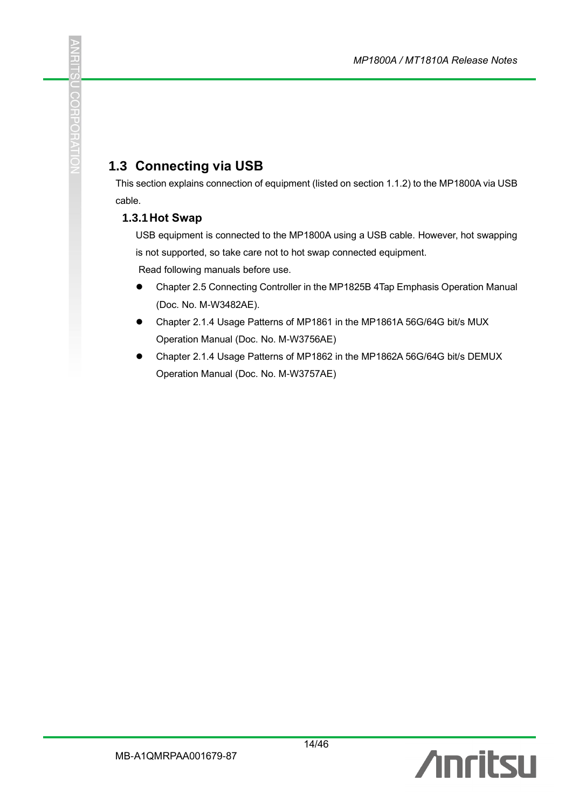# **1.3 Connecting via USB**

This section explains connection of equipment (listed on section 1.1.2) to the MP1800A via USB cable.

#### **1.3.1Hot Swap**

USB equipment is connected to the MP1800A using a USB cable. However, hot swapping is not supported, so take care not to hot swap connected equipment.

Read following manuals before use.

- Chapter 2.5 Connecting Controller in the MP1825B 4Tap Emphasis Operation Manual (Doc. No. M-W3482AE).
- ⚫ Chapter 2.1.4 Usage Patterns of MP1861 in the MP1861A 56G/64G bit/s MUX Operation Manual (Doc. No. M-W3756AE)
- ⚫ Chapter 2.1.4 Usage Patterns of MP1862 in the MP1862A 56G/64G bit/s DEMUX Operation Manual (Doc. No. M-W3757AE)

14/46

J.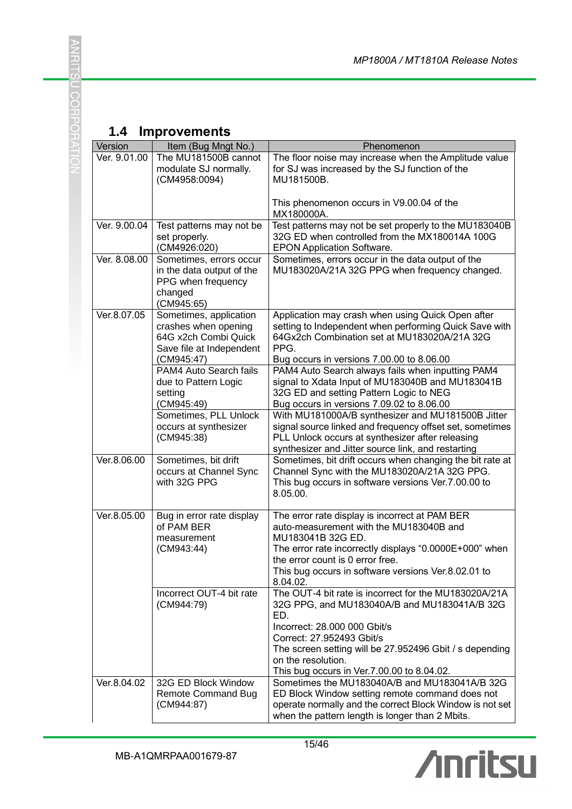# **1.4 Improvements**

**ANRITSU CORPORATIO** 

| Version      | Item (Bug Mngt No.)                            | Phenomenon                                                                                                   |
|--------------|------------------------------------------------|--------------------------------------------------------------------------------------------------------------|
| Ver. 9.01.00 | The MU181500B cannot                           | The floor noise may increase when the Amplitude value                                                        |
|              | modulate SJ normally.                          | for SJ was increased by the SJ function of the                                                               |
|              | (CM4958:0094)                                  | MU181500B.                                                                                                   |
|              |                                                |                                                                                                              |
|              |                                                | This phenomenon occurs in V9.00.04 of the<br>MX180000A.                                                      |
| Ver. 9.00.04 | Test patterns may not be                       | Test patterns may not be set properly to the MU183040B                                                       |
|              | set properly.                                  | 32G ED when controlled from the MX180014A 100G                                                               |
|              | (CM4926:020)                                   | <b>EPON Application Software.</b>                                                                            |
| Ver. 8.08.00 | Sometimes, errors occur                        | Sometimes, errors occur in the data output of the                                                            |
|              | in the data output of the                      | MU183020A/21A 32G PPG when frequency changed.                                                                |
|              | PPG when frequency                             |                                                                                                              |
|              | changed                                        |                                                                                                              |
| Ver.8.07.05  | (CM945:65)                                     |                                                                                                              |
|              | Sometimes, application<br>crashes when opening | Application may crash when using Quick Open after<br>setting to Independent when performing Quick Save with  |
|              | 64G x2ch Combi Quick                           | 64Gx2ch Combination set at MU183020A/21A 32G                                                                 |
|              | Save file at Independent                       | PPG.                                                                                                         |
|              | (CM945:47)                                     | Bug occurs in versions 7.00.00 to 8.06.00                                                                    |
|              | PAM4 Auto Search fails                         | PAM4 Auto Search always fails when inputting PAM4                                                            |
|              | due to Pattern Logic                           | signal to Xdata Input of MU183040B and MU183041B                                                             |
|              | setting                                        | 32G ED and setting Pattern Logic to NEG                                                                      |
|              | (CM945:49)                                     | Bug occurs in versions 7.09.02 to 8.06.00                                                                    |
|              | Sometimes, PLL Unlock                          | With MU181000A/B synthesizer and MU181500B Jitter                                                            |
|              | occurs at synthesizer<br>(CM945:38)            | signal source linked and frequency offset set, sometimes<br>PLL Unlock occurs at synthesizer after releasing |
|              |                                                | synthesizer and Jitter source link, and restarting                                                           |
| Ver.8.06.00  | Sometimes, bit drift                           | Sometimes, bit drift occurs when changing the bit rate at                                                    |
|              | occurs at Channel Sync                         | Channel Sync with the MU183020A/21A 32G PPG.                                                                 |
|              | with 32G PPG                                   | This bug occurs in software versions Ver.7.00.00 to                                                          |
|              |                                                | 8.05.00.                                                                                                     |
| Ver.8.05.00  | Bug in error rate display                      | The error rate display is incorrect at PAM BER                                                               |
|              | of PAM BER                                     | auto-measurement with the MU183040B and                                                                      |
|              | measurement                                    | MU183041B 32G ED.                                                                                            |
|              | (CM943:44)                                     | The error rate incorrectly displays "0.0000E+000" when                                                       |
|              |                                                | the error count is 0 error free.                                                                             |
|              |                                                | This bug occurs in software versions Ver.8.02.01 to                                                          |
|              |                                                | 8.04.02.                                                                                                     |
|              | Incorrect OUT-4 bit rate<br>(CM944:79)         | The OUT-4 bit rate is incorrect for the MU183020A/21A<br>32G PPG, and MU183040A/B and MU183041A/B 32G        |
|              |                                                | ED.                                                                                                          |
|              |                                                | Incorrect: 28.000 000 Gbit/s                                                                                 |
|              |                                                | Correct: 27.952493 Gbit/s                                                                                    |
|              |                                                | The screen setting will be 27.952496 Gbit / s depending                                                      |
|              |                                                | on the resolution.                                                                                           |
|              |                                                | This bug occurs in Ver.7.00.00 to 8.04.02.                                                                   |
| Ver.8.04.02  | 32G ED Block Window                            | Sometimes the MU183040A/B and MU183041A/B 32G                                                                |
|              | <b>Remote Command Bug</b>                      | ED Block Window setting remote command does not                                                              |
|              | (CM944:87)                                     | operate normally and the correct Block Window is not set<br>when the pattern length is longer than 2 Mbits.  |
|              |                                                |                                                                                                              |

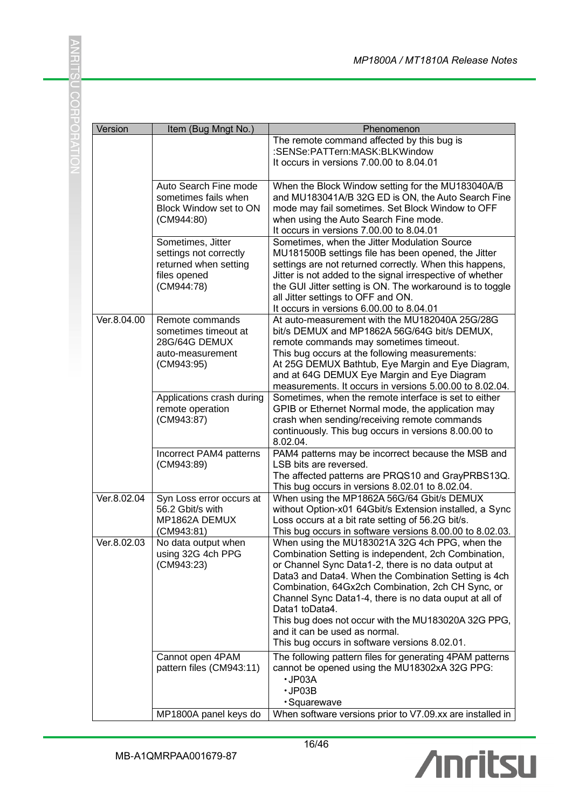| Version     | Item (Bug Mngt No.)                                                                                | Phenomenon                                                                                                                                                                                                                                                                                                                                                                                                                                                                                      |
|-------------|----------------------------------------------------------------------------------------------------|-------------------------------------------------------------------------------------------------------------------------------------------------------------------------------------------------------------------------------------------------------------------------------------------------------------------------------------------------------------------------------------------------------------------------------------------------------------------------------------------------|
|             |                                                                                                    | The remote command affected by this bug is<br>:SENSe:PATTern:MASK:BLKWindow<br>It occurs in versions 7.00.00 to 8.04.01                                                                                                                                                                                                                                                                                                                                                                         |
|             | Auto Search Fine mode<br>sometimes fails when<br>Block Window set to ON<br>(CM944:80)              | When the Block Window setting for the MU183040A/B<br>and MU183041A/B 32G ED is ON, the Auto Search Fine<br>mode may fail sometimes. Set Block Window to OFF<br>when using the Auto Search Fine mode.<br>It occurs in versions 7.00.00 to 8.04.01                                                                                                                                                                                                                                                |
|             | Sometimes, Jitter<br>settings not correctly<br>returned when setting<br>files opened<br>(CM944:78) | Sometimes, when the Jitter Modulation Source<br>MU181500B settings file has been opened, the Jitter<br>settings are not returned correctly. When this happens,<br>Jitter is not added to the signal irrespective of whether<br>the GUI Jitter setting is ON. The workaround is to toggle<br>all Jitter settings to OFF and ON.<br>It occurs in versions 6.00.00 to 8.04.01                                                                                                                      |
| Ver.8.04.00 | Remote commands<br>sometimes timeout at<br>28G/64G DEMUX<br>auto-measurement<br>(CM943:95)         | At auto-measurement with the MU182040A 25G/28G<br>bit/s DEMUX and MP1862A 56G/64G bit/s DEMUX,<br>remote commands may sometimes timeout.<br>This bug occurs at the following measurements:<br>At 25G DEMUX Bathtub, Eye Margin and Eye Diagram,<br>and at 64G DEMUX Eye Margin and Eye Diagram<br>measurements. It occurs in versions 5.00.00 to 8.02.04.                                                                                                                                       |
|             | Applications crash during<br>remote operation<br>(CM943:87)                                        | Sometimes, when the remote interface is set to either<br>GPIB or Ethernet Normal mode, the application may<br>crash when sending/receiving remote commands<br>continuously. This bug occurs in versions 8.00.00 to<br>8.02.04.                                                                                                                                                                                                                                                                  |
|             | Incorrect PAM4 patterns<br>(CM943:89)                                                              | PAM4 patterns may be incorrect because the MSB and<br>LSB bits are reversed.<br>The affected patterns are PRQS10 and GrayPRBS13Q.<br>This bug occurs in versions 8.02.01 to 8.02.04.                                                                                                                                                                                                                                                                                                            |
| Ver.8.02.04 | Syn Loss error occurs at<br>56.2 Gbit/s with<br>MP1862A DEMUX<br>(CM943:81)                        | When using the MP1862A 56G/64 Gbit/s DEMUX<br>without Option-x01 64Gbit/s Extension installed, a Sync<br>Loss occurs at a bit rate setting of 56.2G bit/s.<br>This bug occurs in software versions 8.00.00 to 8.02.03.                                                                                                                                                                                                                                                                          |
| Ver.8.02.03 | No data output when<br>using 32G 4ch PPG<br>(CM943:23)                                             | When using the MU183021A 32G 4ch PPG, when the<br>Combination Setting is independent, 2ch Combination,<br>or Channel Sync Data1-2, there is no data output at<br>Data3 and Data4. When the Combination Setting is 4ch<br>Combination, 64Gx2ch Combination, 2ch CH Sync, or<br>Channel Sync Data1-4, there is no data ouput at all of<br>Data1 toData4.<br>This bug does not occur with the MU183020A 32G PPG,<br>and it can be used as normal.<br>This bug occurs in software versions 8.02.01. |
|             | Cannot open 4PAM<br>pattern files (CM943:11)                                                       | The following pattern files for generating 4PAM patterns<br>cannot be opened using the MU18302xA 32G PPG:<br>$\cdot$ JP03A<br>$\cdot$ JP03B<br>· Squarewave                                                                                                                                                                                                                                                                                                                                     |
|             | MP1800A panel keys do                                                                              | When software versions prior to V7.09.xx are installed in                                                                                                                                                                                                                                                                                                                                                                                                                                       |

16/46

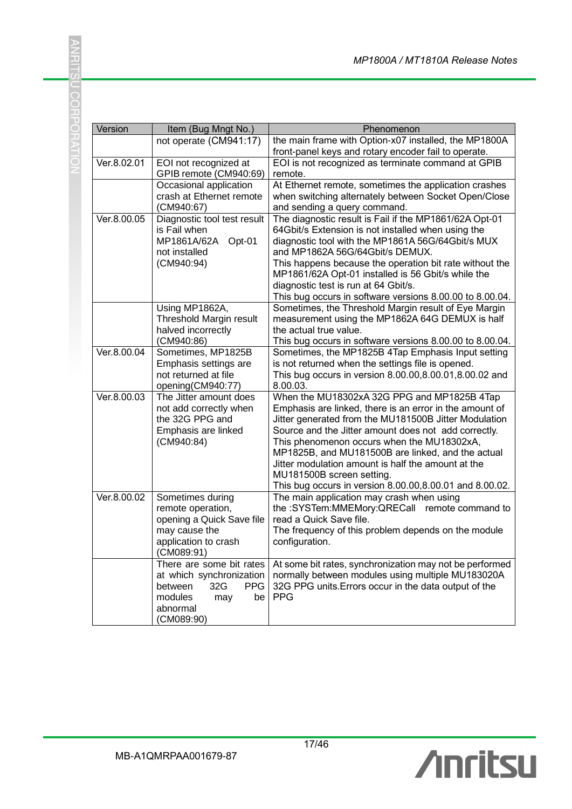| Version     | Item (Bug Mngt No.)                            | Phenomenon                                                                                 |
|-------------|------------------------------------------------|--------------------------------------------------------------------------------------------|
|             | not operate (CM941:17)                         | the main frame with Option-x07 installed, the MP1800A                                      |
|             |                                                | front-panel keys and rotary encoder fail to operate.                                       |
| Ver.8.02.01 | EOI not recognized at                          | EOI is not recognized as terminate command at GPIB                                         |
|             | GPIB remote (CM940:69)                         | remote.                                                                                    |
|             | Occasional application                         | At Ethernet remote, sometimes the application crashes                                      |
|             | crash at Ethernet remote                       | when switching alternately between Socket Open/Close                                       |
|             | (CM940:67)                                     | and sending a query command.                                                               |
| Ver.8.00.05 | Diagnostic tool test result                    | The diagnostic result is Fail if the MP1861/62A Opt-01                                     |
|             | is Fail when                                   | 64Gbit/s Extension is not installed when using the                                         |
|             | MP1861A/62A<br>Opt-01                          | diagnostic tool with the MP1861A 56G/64Gbit/s MUX                                          |
|             | not installed                                  | and MP1862A 56G/64Gbit/s DEMUX.                                                            |
|             | (CM940:94)                                     | This happens because the operation bit rate without the                                    |
|             |                                                | MP1861/62A Opt-01 installed is 56 Gbit/s while the<br>diagnostic test is run at 64 Gbit/s. |
|             |                                                | This bug occurs in software versions 8.00.00 to 8.00.04.                                   |
|             | Using MP1862A,                                 | Sometimes, the Threshold Margin result of Eye Margin                                       |
|             | Threshold Margin result                        | measurement using the MP1862A 64G DEMUX is half                                            |
|             | halved incorrectly                             | the actual true value.                                                                     |
|             | (CM940:86)                                     | This bug occurs in software versions 8.00.00 to 8.00.04.                                   |
| Ver.8.00.04 | Sometimes, MP1825B                             | Sometimes, the MP1825B 4Tap Emphasis Input setting                                         |
|             | Emphasis settings are                          | is not returned when the settings file is opened.                                          |
|             | not returned at file                           | This bug occurs in version 8.00.00,8.00.01,8.00.02 and                                     |
|             | opening(CM940:77)                              | 8.00.03.                                                                                   |
| Ver.8.00.03 | The Jitter amount does                         | When the MU18302xA 32G PPG and MP1825B 4Tap                                                |
|             | not add correctly when                         | Emphasis are linked, there is an error in the amount of                                    |
|             | the 32G PPG and                                | Jitter generated from the MU181500B Jitter Modulation                                      |
|             | Emphasis are linked                            | Source and the Jitter amount does not add correctly.                                       |
|             | (CM940:84)                                     | This phenomenon occurs when the MU18302xA,                                                 |
|             |                                                | MP1825B, and MU181500B are linked, and the actual                                          |
|             |                                                | Jitter modulation amount is half the amount at the                                         |
|             |                                                | MU181500B screen setting.                                                                  |
|             |                                                | This bug occurs in version 8.00.00,8.00.01 and 8.00.02.                                    |
| Ver.8.00.02 | Sometimes during                               | The main application may crash when using                                                  |
|             | remote operation,<br>opening a Quick Save file | the :SYSTem:MMEMory:QRECall remote command to<br>read a Quick Save file.                   |
|             | may cause the                                  | The frequency of this problem depends on the module                                        |
|             | application to crash                           | configuration.                                                                             |
|             | (CM089:91)                                     |                                                                                            |
|             | There are some bit rates                       | At some bit rates, synchronization may not be performed                                    |
|             | at which synchronization                       | normally between modules using multiple MU183020A                                          |
|             | <b>PPG</b><br>between<br>32G                   | 32G PPG units. Errors occur in the data output of the                                      |
|             | modules<br>may<br>be                           | <b>PPG</b>                                                                                 |
|             | abnormal                                       |                                                                                            |
|             | (CM089:90)                                     |                                                                                            |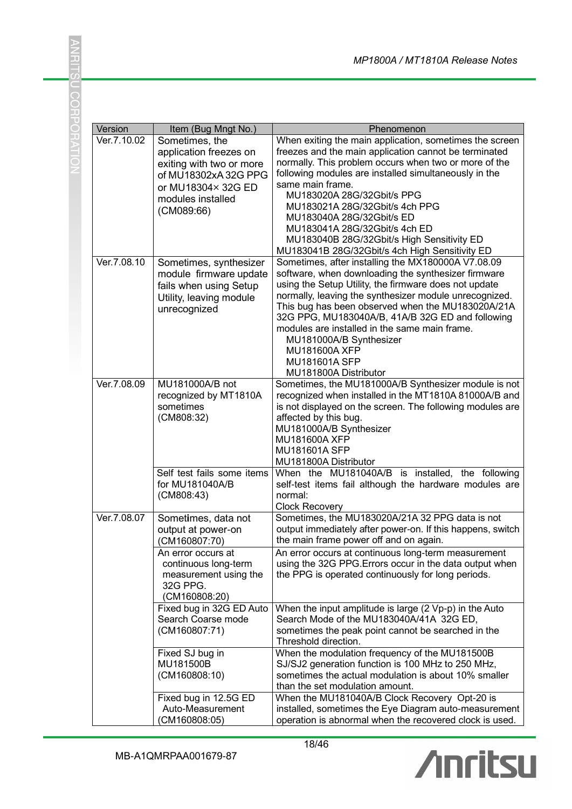| Version     | Item (Bug Mngt No.)                                                                                                                                  | Phenomenon                                                                                                                                                                                                                                                                                                                                                                                                                                                                           |
|-------------|------------------------------------------------------------------------------------------------------------------------------------------------------|--------------------------------------------------------------------------------------------------------------------------------------------------------------------------------------------------------------------------------------------------------------------------------------------------------------------------------------------------------------------------------------------------------------------------------------------------------------------------------------|
| Ver.7.10.02 | Sometimes, the<br>application freezes on<br>exiting with two or more<br>of MU18302xA 32G PPG<br>or MU18304×32G ED<br>modules installed<br>(CM089:66) | When exiting the main application, sometimes the screen<br>freezes and the main application cannot be terminated<br>normally. This problem occurs when two or more of the<br>following modules are installed simultaneously in the<br>same main frame.<br>MU183020A 28G/32Gbit/s PPG<br>MU183021A 28G/32Gbit/s 4ch PPG<br>MU183040A 28G/32Gbit/s ED<br>MU183041A 28G/32Gbit/s 4ch ED<br>MU183040B 28G/32Gbit/s High Sensitivity ED<br>MU183041B 28G/32Gbit/s 4ch High Sensitivity ED |
| Ver.7.08.10 | Sometimes, synthesizer<br>module firmware update<br>fails when using Setup<br>Utility, leaving module<br>unrecognized                                | Sometimes, after installing the MX180000A V7.08.09<br>software, when downloading the synthesizer firmware<br>using the Setup Utility, the firmware does not update<br>normally, leaving the synthesizer module unrecognized.<br>This bug has been observed when the MU183020A/21A<br>32G PPG, MU183040A/B, 41A/B 32G ED and following<br>modules are installed in the same main frame.<br>MU181000A/B Synthesizer<br>MU181600A XFP<br>MU181601A SFP<br>MU181800A Distributor         |
| Ver.7.08.09 | MU181000A/B not<br>recognized by MT1810A<br>sometimes<br>(CM808:32)                                                                                  | Sometimes, the MU181000A/B Synthesizer module is not<br>recognized when installed in the MT1810A 81000A/B and<br>is not displayed on the screen. The following modules are<br>affected by this bug.<br>MU181000A/B Synthesizer<br>MU181600A XFP<br>MU181601A SFP<br>MU181800A Distributor                                                                                                                                                                                            |
|             | Self test fails some items<br>for MU181040A/B<br>(CM808:43)                                                                                          | When the MU181040A/B is installed, the following<br>self-test items fail although the hardware modules are<br>normal:<br><b>Clock Recovery</b>                                                                                                                                                                                                                                                                                                                                       |
| Ver.7.08.07 | Sometimes, data not<br>output at power-on<br>(CM160807:70)<br>An error occurs at                                                                     | Sometimes, the MU183020A/21A 32 PPG data is not<br>output immediately after power-on. If this happens, switch<br>the main frame power off and on again.<br>An error occurs at continuous long-term measurement                                                                                                                                                                                                                                                                       |
|             | continuous long-term<br>measurement using the<br>32G PPG.<br>(CM160808:20)                                                                           | using the 32G PPG. Errors occur in the data output when<br>the PPG is operated continuously for long periods.                                                                                                                                                                                                                                                                                                                                                                        |
|             | Fixed bug in 32G ED Auto<br>Search Coarse mode<br>(CM160807:71)                                                                                      | When the input amplitude is large (2 Vp-p) in the Auto<br>Search Mode of the MU183040A/41A 32G ED,<br>sometimes the peak point cannot be searched in the<br>Threshold direction.                                                                                                                                                                                                                                                                                                     |
|             | Fixed SJ bug in<br>MU181500B<br>(CM160808:10)                                                                                                        | When the modulation frequency of the MU181500B<br>SJ/SJ2 generation function is 100 MHz to 250 MHz,<br>sometimes the actual modulation is about 10% smaller<br>than the set modulation amount.                                                                                                                                                                                                                                                                                       |
|             | Fixed bug in 12.5G ED<br>Auto-Measurement<br>(CM160808:05)                                                                                           | When the MU181040A/B Clock Recovery Opt-20 is<br>installed, sometimes the Eye Diagram auto-measurement<br>operation is abnormal when the recovered clock is used.                                                                                                                                                                                                                                                                                                                    |

18/46

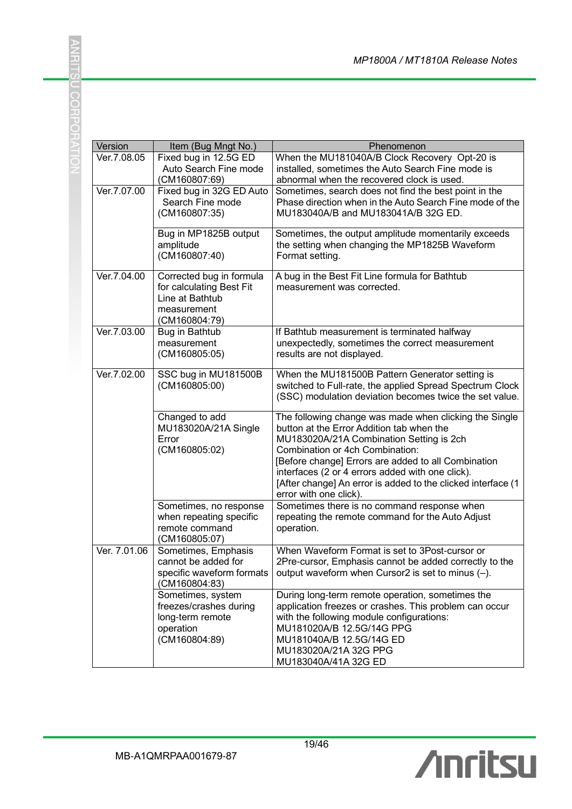| Version      | Item (Bug Mngt No.)                        | Phenomenon                                                                             |
|--------------|--------------------------------------------|----------------------------------------------------------------------------------------|
| Ver.7.08.05  | Fixed bug in 12.5G ED                      | When the MU181040A/B Clock Recovery Opt-20 is                                          |
|              | Auto Search Fine mode                      | installed, sometimes the Auto Search Fine mode is                                      |
|              | (CM160807:69)                              | abnormal when the recovered clock is used.                                             |
| Ver.7.07.00  | Fixed bug in 32G ED Auto                   | Sometimes, search does not find the best point in the                                  |
|              | Search Fine mode                           | Phase direction when in the Auto Search Fine mode of the                               |
|              | (CM160807:35)                              | MU183040A/B and MU183041A/B 32G ED.                                                    |
|              | Bug in MP1825B output                      | Sometimes, the output amplitude momentarily exceeds                                    |
|              | amplitude                                  | the setting when changing the MP1825B Waveform                                         |
|              | (CM160807:40)                              | Format setting.                                                                        |
| Ver.7.04.00  | Corrected bug in formula                   | A bug in the Best Fit Line formula for Bathtub                                         |
|              | for calculating Best Fit                   | measurement was corrected.                                                             |
|              | Line at Bathtub                            |                                                                                        |
|              | measurement                                |                                                                                        |
|              | (CM160804:79)                              |                                                                                        |
| Ver.7.03.00  | Bug in Bathtub                             | If Bathtub measurement is terminated halfway                                           |
|              | measurement                                | unexpectedly, sometimes the correct measurement                                        |
|              | (CM160805:05)                              | results are not displayed.                                                             |
| Ver.7.02.00  | SSC bug in MU181500B                       | When the MU181500B Pattern Generator setting is                                        |
|              | (CM160805:00)                              | switched to Full-rate, the applied Spread Spectrum Clock                               |
|              |                                            | (SSC) modulation deviation becomes twice the set value.                                |
|              |                                            |                                                                                        |
|              | Changed to add                             | The following change was made when clicking the Single                                 |
|              | MU183020A/21A Single                       | button at the Error Addition tab when the                                              |
|              | Error                                      | MU183020A/21A Combination Setting is 2ch                                               |
|              | (CM160805:02)                              | Combination or 4ch Combination:                                                        |
|              |                                            | [Before change] Errors are added to all Combination                                    |
|              |                                            | interfaces (2 or 4 errors added with one click).                                       |
|              |                                            | [After change] An error is added to the clicked interface (1<br>error with one click). |
|              | Sometimes, no response                     | Sometimes there is no command response when                                            |
|              | when repeating specific                    | repeating the remote command for the Auto Adjust                                       |
|              | remote command                             | operation.                                                                             |
|              | (CM160805:07)                              |                                                                                        |
| Ver. 7.01.06 | Sometimes, Emphasis                        | When Waveform Format is set to 3Post-cursor or                                         |
|              | cannot be added for                        | 2Pre-cursor, Emphasis cannot be added correctly to the                                 |
|              | specific waveform formats<br>(CM160804:83) | output waveform when Cursor2 is set to minus $(-)$ .                                   |
|              | Sometimes, system                          | During long-term remote operation, sometimes the                                       |
|              | freezes/crashes during                     | application freezes or crashes. This problem can occur                                 |
|              | long-term remote                           | with the following module configurations:                                              |
|              | operation                                  | MU181020A/B 12.5G/14G PPG                                                              |
|              | (CM160804:89)                              | MU181040A/B 12.5G/14G ED                                                               |
|              |                                            | MU183020A/21A 32G PPG                                                                  |
|              |                                            | MU183040A/41A 32G ED                                                                   |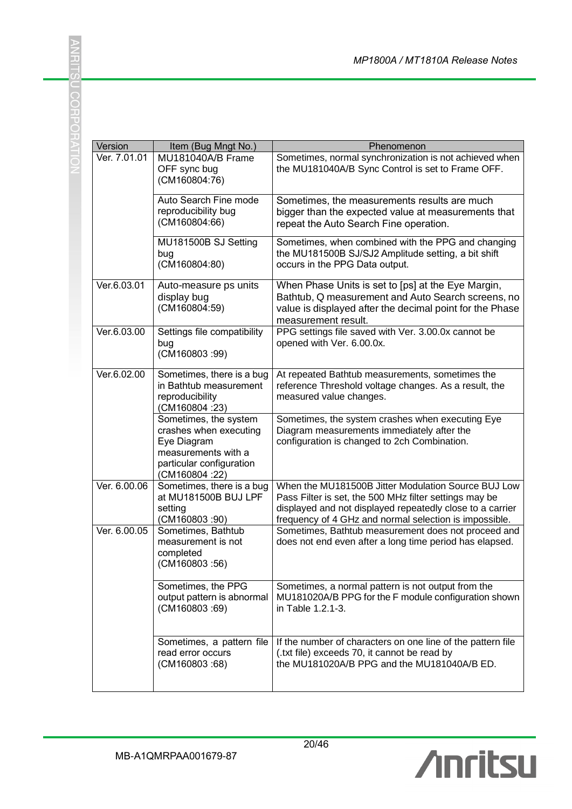| Version      | Item (Bug Mngt No.)                                                                                                                  | Phenomenon                                                                                                                                                                                                                           |
|--------------|--------------------------------------------------------------------------------------------------------------------------------------|--------------------------------------------------------------------------------------------------------------------------------------------------------------------------------------------------------------------------------------|
| Ver. 7.01.01 | MU181040A/B Frame<br>OFF sync bug<br>(CM160804:76)                                                                                   | Sometimes, normal synchronization is not achieved when<br>the MU181040A/B Sync Control is set to Frame OFF.                                                                                                                          |
|              | Auto Search Fine mode<br>reproducibility bug<br>(CM160804:66)                                                                        | Sometimes, the measurements results are much<br>bigger than the expected value at measurements that<br>repeat the Auto Search Fine operation.                                                                                        |
|              | MU181500B SJ Setting<br>bug<br>(CM160804:80)                                                                                         | Sometimes, when combined with the PPG and changing<br>the MU181500B SJ/SJ2 Amplitude setting, a bit shift<br>occurs in the PPG Data output.                                                                                          |
| Ver.6.03.01  | Auto-measure ps units<br>display bug<br>(CM160804:59)                                                                                | When Phase Units is set to [ps] at the Eye Margin,<br>Bathtub, Q measurement and Auto Search screens, no<br>value is displayed after the decimal point for the Phase<br>measurement result.                                          |
| Ver.6.03.00  | Settings file compatibility<br>bug<br>(CM160803:99)                                                                                  | PPG settings file saved with Ver. 3.00.0x cannot be<br>opened with Ver. 6.00.0x.                                                                                                                                                     |
| Ver.6.02.00  | Sometimes, there is a bug<br>in Bathtub measurement<br>reproducibility<br>(CM160804:23)                                              | At repeated Bathtub measurements, sometimes the<br>reference Threshold voltage changes. As a result, the<br>measured value changes.                                                                                                  |
|              | Sometimes, the system<br>crashes when executing<br>Eye Diagram<br>measurements with a<br>particular configuration<br>(CM160804 : 22) | Sometimes, the system crashes when executing Eye<br>Diagram measurements immediately after the<br>configuration is changed to 2ch Combination.                                                                                       |
| Ver. 6.00.06 | Sometimes, there is a bug<br>at MU181500B BUJ LPF<br>setting<br>(CM160803:90)                                                        | When the MU181500B Jitter Modulation Source BUJ Low<br>Pass Filter is set, the 500 MHz filter settings may be<br>displayed and not displayed repeatedly close to a carrier<br>frequency of 4 GHz and normal selection is impossible. |
| Ver. 6.00.05 | Sometimes, Bathtub<br>measurement is not<br>completed<br>(CM160803:56)                                                               | Sometimes, Bathtub measurement does not proceed and<br>does not end even after a long time period has elapsed.                                                                                                                       |
|              | Sometimes, the PPG<br>output pattern is abnormal<br>(CM160803:69)                                                                    | Sometimes, a normal pattern is not output from the<br>MU181020A/B PPG for the F module configuration shown<br>in Table 1.2.1-3.                                                                                                      |
|              | Sometimes, a pattern file<br>read error occurs<br>(CM160803:68)                                                                      | If the number of characters on one line of the pattern file<br>(.txt file) exceeds 70, it cannot be read by<br>the MU181020A/B PPG and the MU181040A/B ED.                                                                           |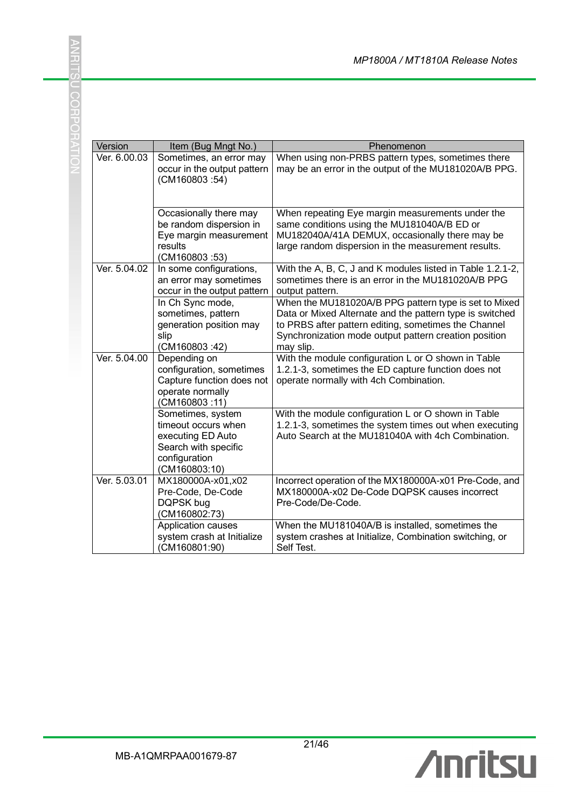| Version      | Item (Bug Mngt No.)                                                                                                     | Phenomenon                                                                                                                                                                                                                                      |
|--------------|-------------------------------------------------------------------------------------------------------------------------|-------------------------------------------------------------------------------------------------------------------------------------------------------------------------------------------------------------------------------------------------|
| Ver. 6.00.03 | Sometimes, an error may<br>occur in the output pattern<br>(CM160803:54)                                                 | When using non-PRBS pattern types, sometimes there<br>may be an error in the output of the MU181020A/B PPG.                                                                                                                                     |
|              | Occasionally there may<br>be random dispersion in<br>Eye margin measurement<br>results<br>(CM160803:53)                 | When repeating Eye margin measurements under the<br>same conditions using the MU181040A/B ED or<br>MU182040A/41A DEMUX, occasionally there may be<br>large random dispersion in the measurement results.                                        |
| Ver. 5.04.02 | In some configurations,<br>an error may sometimes<br>occur in the output pattern                                        | With the A, B, C, J and K modules listed in Table 1.2.1-2,<br>sometimes there is an error in the MU181020A/B PPG<br>output pattern.                                                                                                             |
|              | In Ch Sync mode,<br>sometimes, pattern<br>generation position may<br>slip<br>(CM160803:42)                              | When the MU181020A/B PPG pattern type is set to Mixed<br>Data or Mixed Alternate and the pattern type is switched<br>to PRBS after pattern editing, sometimes the Channel<br>Synchronization mode output pattern creation position<br>may slip. |
| Ver. 5.04.00 | Depending on<br>configuration, sometimes<br>Capture function does not<br>operate normally<br>(CM160803:11)              | With the module configuration L or O shown in Table<br>1.2.1-3, sometimes the ED capture function does not<br>operate normally with 4ch Combination.                                                                                            |
|              | Sometimes, system<br>timeout occurs when<br>executing ED Auto<br>Search with specific<br>configuration<br>(CM160803:10) | With the module configuration L or O shown in Table<br>1.2.1-3, sometimes the system times out when executing<br>Auto Search at the MU181040A with 4ch Combination.                                                                             |
| Ver. 5.03.01 | MX180000A-x01,x02<br>Pre-Code, De-Code<br>DQPSK bug<br>(CM160802:73)                                                    | Incorrect operation of the MX180000A-x01 Pre-Code, and<br>MX180000A-x02 De-Code DQPSK causes incorrect<br>Pre-Code/De-Code.                                                                                                                     |
|              | Application causes<br>system crash at Initialize<br>(CM160801:90)                                                       | When the MU181040A/B is installed, sometimes the<br>system crashes at Initialize, Combination switching, or<br>Self Test.                                                                                                                       |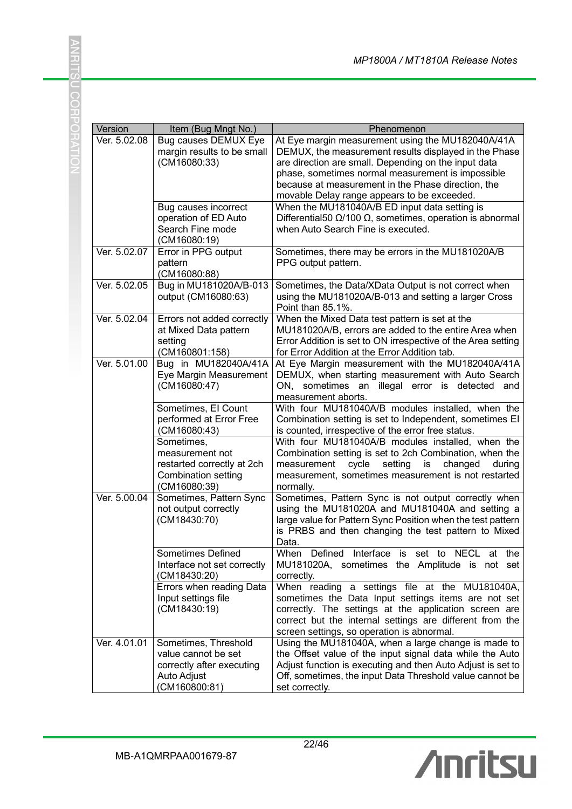| Version      | Item (Bug Mngt No.)                                                                                       | Phenomenon                                                                                                                                                                                                                                                                                                                   |
|--------------|-----------------------------------------------------------------------------------------------------------|------------------------------------------------------------------------------------------------------------------------------------------------------------------------------------------------------------------------------------------------------------------------------------------------------------------------------|
| Ver. 5.02.08 | <b>Bug causes DEMUX Eye</b><br>margin results to be small<br>(CM16080:33)                                 | At Eye margin measurement using the MU182040A/41A<br>DEMUX, the measurement results displayed in the Phase<br>are direction are small. Depending on the input data<br>phase, sometimes normal measurement is impossible<br>because at measurement in the Phase direction, the<br>movable Delay range appears to be exceeded. |
|              | Bug causes incorrect<br>operation of ED Auto<br>Search Fine mode<br>(CM16080:19)                          | When the MU181040A/B ED input data setting is<br>Differential 50 $\Omega$ /100 $\Omega$ , sometimes, operation is abnormal<br>when Auto Search Fine is executed.                                                                                                                                                             |
| Ver. 5.02.07 | Error in PPG output<br>pattern<br>(CM16080:88)                                                            | Sometimes, there may be errors in the MU181020A/B<br>PPG output pattern.                                                                                                                                                                                                                                                     |
| Ver. 5.02.05 | Bug in MU181020A/B-013<br>output (CM16080:63)                                                             | Sometimes, the Data/XData Output is not correct when<br>using the MU181020A/B-013 and setting a larger Cross<br>Point than 85.1%.                                                                                                                                                                                            |
| Ver. 5.02.04 | Errors not added correctly<br>at Mixed Data pattern<br>setting<br>(CM160801:158)                          | When the Mixed Data test pattern is set at the<br>MU181020A/B, errors are added to the entire Area when<br>Error Addition is set to ON irrespective of the Area setting<br>for Error Addition at the Error Addition tab.                                                                                                     |
| Ver. 5.01.00 | Bug in MU182040A/41A<br>Eye Margin Measurement<br>(CM16080:47)                                            | At Eye Margin measurement with the MU182040A/41A<br>DEMUX, when starting measurement with Auto Search<br>ON, sometimes an illegal error is detected and<br>measurement aborts.                                                                                                                                               |
|              | Sometimes, El Count<br>performed at Error Free<br>(CM16080:43)                                            | With four MU181040A/B modules installed, when the<br>Combination setting is set to Independent, sometimes EI<br>is counted, irrespective of the error free status.                                                                                                                                                           |
|              | Sometimes,<br>measurement not<br>restarted correctly at 2ch<br><b>Combination setting</b><br>(CM16080:39) | With four MU181040A/B modules installed, when the<br>Combination setting is set to 2ch Combination, when the<br>setting<br>is<br>changed<br>measurement<br>cycle<br>during<br>measurement, sometimes measurement is not restarted<br>normally.                                                                               |
| Ver. 5.00.04 | Sometimes, Pattern Sync<br>not output correctly<br>(CM18430:70)                                           | Sometimes, Pattern Sync is not output correctly when<br>using the MU181020A and MU181040A and setting a<br>large value for Pattern Sync Position when the test pattern<br>is PRBS and then changing the test pattern to Mixed<br>Data.                                                                                       |
|              | Sometimes Defined<br>Interface not set correctly<br>(CM18430:20)                                          | When Defined Interface is set to NECL at the<br>MU181020A, sometimes the Amplitude is not set<br>correctly.                                                                                                                                                                                                                  |
|              | Errors when reading Data<br>Input settings file<br>(CM18430:19)                                           | When reading a settings file at the MU181040A,<br>sometimes the Data Input settings items are not set<br>correctly. The settings at the application screen are<br>correct but the internal settings are different from the<br>screen settings, so operation is abnormal.                                                     |
| Ver. 4.01.01 | Sometimes, Threshold<br>value cannot be set<br>correctly after executing<br>Auto Adjust<br>(CM160800:81)  | Using the MU181040A, when a large change is made to<br>the Offset value of the input signal data while the Auto<br>Adjust function is executing and then Auto Adjust is set to<br>Off, sometimes, the input Data Threshold value cannot be<br>set correctly.                                                                 |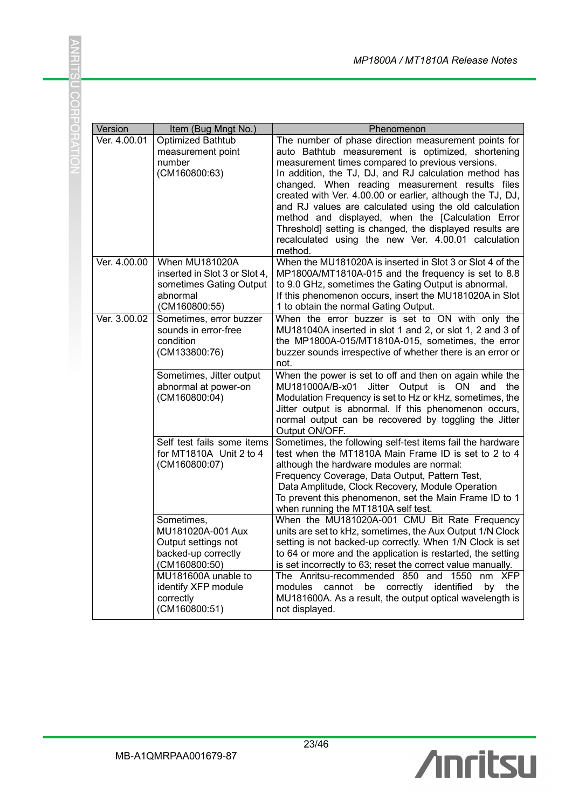| Version      | Item (Bug Mngt No.)                                                                                                                                                        | Phenomenon                                                                                                                                                                                                                                                                                                                                                                                                                                                                                                                                                                            |
|--------------|----------------------------------------------------------------------------------------------------------------------------------------------------------------------------|---------------------------------------------------------------------------------------------------------------------------------------------------------------------------------------------------------------------------------------------------------------------------------------------------------------------------------------------------------------------------------------------------------------------------------------------------------------------------------------------------------------------------------------------------------------------------------------|
| Ver. 4.00.01 | <b>Optimized Bathtub</b><br>measurement point<br>number<br>(CM160800:63)                                                                                                   | The number of phase direction measurement points for<br>auto Bathtub measurement is optimized, shortening<br>measurement times compared to previous versions.<br>In addition, the TJ, DJ, and RJ calculation method has<br>changed. When reading measurement results files<br>created with Ver. 4.00.00 or earlier, although the TJ, DJ,<br>and RJ values are calculated using the old calculation<br>method and displayed, when the [Calculation Error<br>Threshold] setting is changed, the displayed results are<br>recalculated using the new Ver. 4.00.01 calculation<br>method. |
| Ver. 4.00.00 | When MU181020A<br>inserted in Slot 3 or Slot 4,<br>sometimes Gating Output<br>abnormal<br>(CM160800:55)                                                                    | When the MU181020A is inserted in Slot 3 or Slot 4 of the<br>MP1800A/MT1810A-015 and the frequency is set to 8.8<br>to 9.0 GHz, sometimes the Gating Output is abnormal.<br>If this phenomenon occurs, insert the MU181020A in Slot<br>1 to obtain the normal Gating Output.                                                                                                                                                                                                                                                                                                          |
| Ver. 3.00.02 | Sometimes, error buzzer<br>sounds in error-free<br>condition<br>(CM133800:76)                                                                                              | When the error buzzer is set to ON with only the<br>MU181040A inserted in slot 1 and 2, or slot 1, 2 and 3 of<br>the MP1800A-015/MT1810A-015, sometimes, the error<br>buzzer sounds irrespective of whether there is an error or<br>not.                                                                                                                                                                                                                                                                                                                                              |
|              | Sometimes, Jitter output<br>abnormal at power-on<br>(CM160800:04)                                                                                                          | When the power is set to off and then on again while the<br>MU181000A/B-x01<br>Jitter Output is ON and the<br>Modulation Frequency is set to Hz or kHz, sometimes, the<br>Jitter output is abnormal. If this phenomenon occurs,<br>normal output can be recovered by toggling the Jitter<br>Output ON/OFF.                                                                                                                                                                                                                                                                            |
|              | Self test fails some items<br>for MT1810A Unit 2 to 4<br>(CM160800:07)                                                                                                     | Sometimes, the following self-test items fail the hardware<br>test when the MT1810A Main Frame ID is set to 2 to 4<br>although the hardware modules are normal:<br>Frequency Coverage, Data Output, Pattern Test,<br>Data Amplitude, Clock Recovery, Module Operation<br>To prevent this phenomenon, set the Main Frame ID to 1<br>when running the MT1810A self test.                                                                                                                                                                                                                |
|              | Sometimes,<br>MU181020A-001 Aux<br>Output settings not<br>backed-up correctly<br>(CM160800:50)<br>MU181600A unable to<br>identify XFP module<br>correctly<br>(CM160800:51) | When the MU181020A-001 CMU Bit Rate Frequency<br>units are set to kHz, sometimes, the Aux Output 1/N Clock<br>setting is not backed-up correctly. When 1/N Clock is set<br>to 64 or more and the application is restarted, the setting<br>is set incorrectly to 63; reset the correct value manually.<br>The Anritsu-recommended 850 and<br>1550<br><b>XFP</b><br>nm<br>correctly identified<br>modules<br>cannot<br>be<br>by<br>the<br>MU181600A. As a result, the output optical wavelength is<br>not displayed.                                                                    |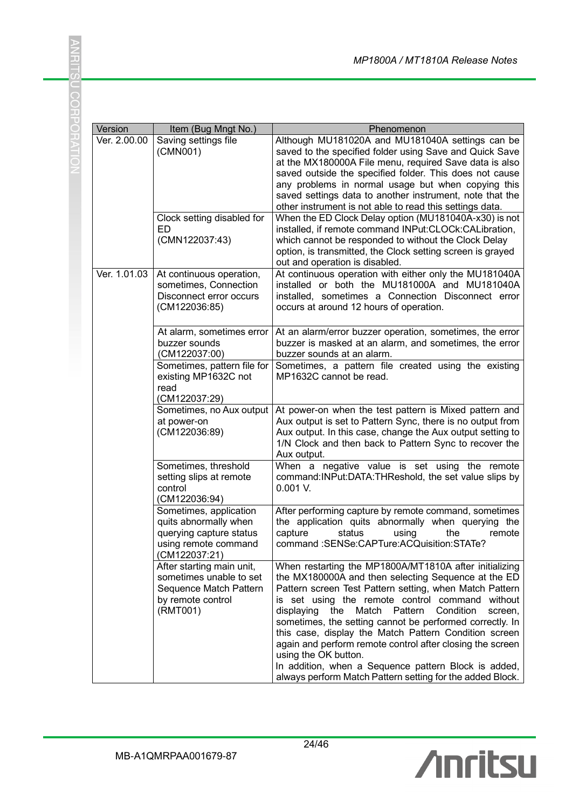|              |                                                                                                                     | MP1800A / MT1810A Release Notes                                                                                                                                                                                                                                                                                                                                                                                                                                                                                                                                                                                          |
|--------------|---------------------------------------------------------------------------------------------------------------------|--------------------------------------------------------------------------------------------------------------------------------------------------------------------------------------------------------------------------------------------------------------------------------------------------------------------------------------------------------------------------------------------------------------------------------------------------------------------------------------------------------------------------------------------------------------------------------------------------------------------------|
|              |                                                                                                                     |                                                                                                                                                                                                                                                                                                                                                                                                                                                                                                                                                                                                                          |
| Version      | Item (Bug Mngt No.)                                                                                                 | Phenomenon                                                                                                                                                                                                                                                                                                                                                                                                                                                                                                                                                                                                               |
| Ver. 2.00.00 | Saving settings file<br>(CMN001)                                                                                    | Although MU181020A and MU181040A settings can be<br>saved to the specified folder using Save and Quick Save<br>at the MX180000A File menu, required Save data is also<br>saved outside the specified folder. This does not cause<br>any problems in normal usage but when copying this<br>saved settings data to another instrument, note that the<br>other instrument is not able to read this settings data.                                                                                                                                                                                                           |
|              | Clock setting disabled for<br>ED<br>(CMN122037:43)                                                                  | When the ED Clock Delay option (MU181040A-x30) is not<br>installed, if remote command INPut:CLOCk:CALibration,<br>which cannot be responded to without the Clock Delay<br>option, is transmitted, the Clock setting screen is grayed<br>out and operation is disabled.                                                                                                                                                                                                                                                                                                                                                   |
| Ver. 1.01.03 | At continuous operation,<br>sometimes, Connection<br>Disconnect error occurs<br>(CM122036:85)                       | At continuous operation with either only the MU181040A<br>installed or both the MU181000A and MU181040A<br>installed, sometimes a Connection Disconnect error<br>occurs at around 12 hours of operation.                                                                                                                                                                                                                                                                                                                                                                                                                 |
|              | At alarm, sometimes error<br>buzzer sounds<br>(CM122037:00)                                                         | At an alarm/error buzzer operation, sometimes, the error<br>buzzer is masked at an alarm, and sometimes, the error<br>buzzer sounds at an alarm.                                                                                                                                                                                                                                                                                                                                                                                                                                                                         |
|              | Sometimes, pattern file for<br>existing MP1632C not<br>read                                                         | Sometimes, a pattern file created using the existing<br>MP1632C cannot be read.                                                                                                                                                                                                                                                                                                                                                                                                                                                                                                                                          |
|              | (CM122037:29)<br>Sometimes, no Aux output<br>at power-on<br>(CM122036:89)                                           | At power-on when the test pattern is Mixed pattern and<br>Aux output is set to Pattern Sync, there is no output from<br>Aux output. In this case, change the Aux output setting to<br>1/N Clock and then back to Pattern Sync to recover the<br>Aux output.                                                                                                                                                                                                                                                                                                                                                              |
|              | Sometimes, threshold<br>setting slips at remote<br>control<br>(CM122036:94)                                         | When a negative value is set using the remote<br>command: INPut: DATA: THReshold, the set value slips by<br>$0.001$ V.                                                                                                                                                                                                                                                                                                                                                                                                                                                                                                   |
|              | Sometimes, application<br>quits abnormally when<br>querying capture status<br>using remote command<br>(CM122037:21) | After performing capture by remote command, sometimes<br>the application quits abnormally when querying the<br>capture<br>status<br>using<br>the<br>remote<br>command: SENSe: CAPTure: ACQuisition: STATe?                                                                                                                                                                                                                                                                                                                                                                                                               |
|              | After starting main unit,<br>sometimes unable to set<br>Sequence Match Pattern<br>by remote control<br>(RMT001)     | When restarting the MP1800A/MT1810A after initializing<br>the MX180000A and then selecting Sequence at the ED<br>Pattern screen Test Pattern setting, when Match Pattern<br>is set using the remote control command without<br>Match Pattern<br>Condition<br>displaying<br>the<br>screen,<br>sometimes, the setting cannot be performed correctly. In<br>this case, display the Match Pattern Condition screen<br>again and perform remote control after closing the screen<br>using the OK button.<br>In addition, when a Sequence pattern Block is added,<br>always perform Match Pattern setting for the added Block. |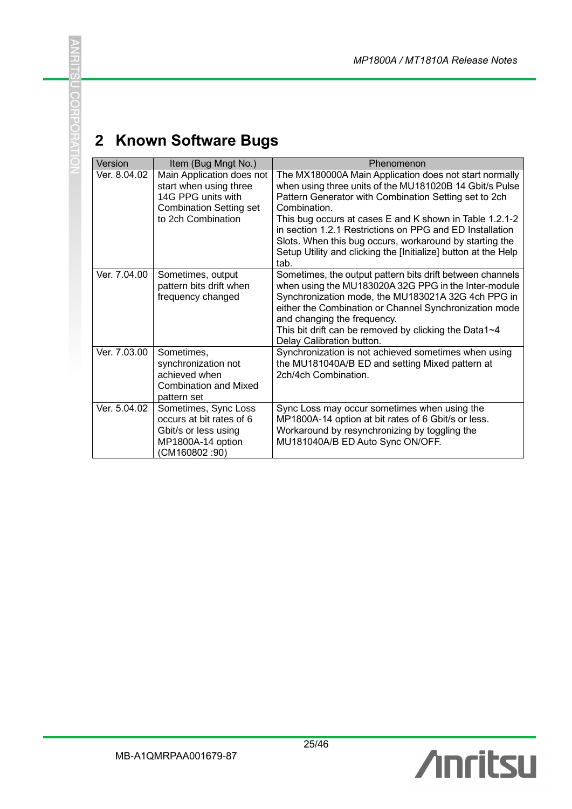# **2 Known Software Bugs**

**ANHIS** 

**U CORPORATIO** 

| Version      | Item (Bug Mngt No.)                                                                                                               | Phenomenon                                                                                                                                                                                                                                                                                                                                                                                                                                            |
|--------------|-----------------------------------------------------------------------------------------------------------------------------------|-------------------------------------------------------------------------------------------------------------------------------------------------------------------------------------------------------------------------------------------------------------------------------------------------------------------------------------------------------------------------------------------------------------------------------------------------------|
| Ver. 8.04.02 | Main Application does not<br>start when using three<br>14G PPG units with<br><b>Combination Setting set</b><br>to 2ch Combination | The MX180000A Main Application does not start normally<br>when using three units of the MU181020B 14 Gbit/s Pulse<br>Pattern Generator with Combination Setting set to 2ch<br>Combination<br>This bug occurs at cases E and K shown in Table 1.2.1-2<br>in section 1.2.1 Restrictions on PPG and ED Installation<br>Slots. When this bug occurs, workaround by starting the<br>Setup Utility and clicking the [Initialize] button at the Help<br>tab. |
| Ver. 7.04.00 | Sometimes, output<br>pattern bits drift when<br>frequency changed                                                                 | Sometimes, the output pattern bits drift between channels<br>when using the MU183020A 32G PPG in the Inter-module<br>Synchronization mode, the MU183021A 32G 4ch PPG in<br>either the Combination or Channel Synchronization mode<br>and changing the frequency.<br>This bit drift can be removed by clicking the Data1~4<br>Delay Calibration button.                                                                                                |
| Ver. 7.03.00 | Sometimes,<br>synchronization not<br>achieved when<br><b>Combination and Mixed</b><br>pattern set                                 | Synchronization is not achieved sometimes when using<br>the MU181040A/B ED and setting Mixed pattern at<br>2ch/4ch Combination.                                                                                                                                                                                                                                                                                                                       |
| Ver. 5.04.02 | Sometimes, Sync Loss<br>occurs at bit rates of 6<br>Gbit/s or less using<br>MP1800A-14 option<br>(CM160802:90)                    | Sync Loss may occur sometimes when using the<br>MP1800A-14 option at bit rates of 6 Gbit/s or less.<br>Workaround by resynchronizing by toggling the<br>MU181040A/B ED Auto Sync ON/OFF.                                                                                                                                                                                                                                                              |

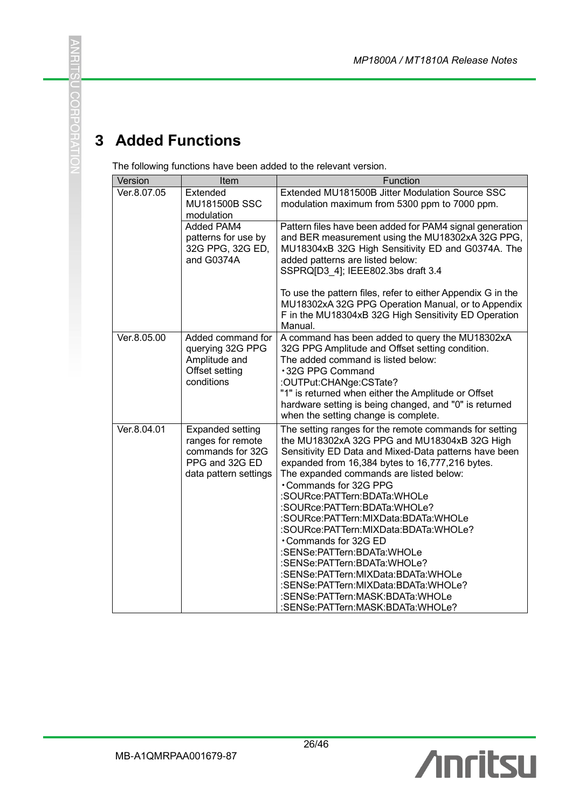# **3 Added Functions**

**ANRITS** 

U CORPORATIO

The following functions have been added to the relevant version.

| Version     | Item                                                                                                        | Function                                                                                                                                                                                                                                                                                                                                                                                                                                                                                                                                                                                                                                                                              |
|-------------|-------------------------------------------------------------------------------------------------------------|---------------------------------------------------------------------------------------------------------------------------------------------------------------------------------------------------------------------------------------------------------------------------------------------------------------------------------------------------------------------------------------------------------------------------------------------------------------------------------------------------------------------------------------------------------------------------------------------------------------------------------------------------------------------------------------|
| Ver.8.07.05 | Extended<br><b>MU181500B SSC</b><br>modulation                                                              | Extended MU181500B Jitter Modulation Source SSC<br>modulation maximum from 5300 ppm to 7000 ppm.                                                                                                                                                                                                                                                                                                                                                                                                                                                                                                                                                                                      |
|             | <b>Added PAM4</b><br>patterns for use by<br>32G PPG, 32G ED,<br>and G0374A                                  | Pattern files have been added for PAM4 signal generation<br>and BER measurement using the MU18302xA 32G PPG,<br>MU18304xB 32G High Sensitivity ED and G0374A. The<br>added patterns are listed below:<br>SSPRQ[D3_4]; IEEE802.3bs draft 3.4                                                                                                                                                                                                                                                                                                                                                                                                                                           |
|             |                                                                                                             | To use the pattern files, refer to either Appendix G in the<br>MU18302xA 32G PPG Operation Manual, or to Appendix<br>F in the MU18304xB 32G High Sensitivity ED Operation<br>Manual.                                                                                                                                                                                                                                                                                                                                                                                                                                                                                                  |
| Ver.8.05.00 | Added command for<br>querying 32G PPG<br>Amplitude and<br>Offset setting<br>conditions                      | A command has been added to query the MU18302xA<br>32G PPG Amplitude and Offset setting condition.<br>The added command is listed below:<br>∙32G PPG Command<br>:OUTPut:CHANge:CSTate?<br>"1" is returned when either the Amplitude or Offset<br>hardware setting is being changed, and "0" is returned<br>when the setting change is complete.                                                                                                                                                                                                                                                                                                                                       |
| Ver.8.04.01 | <b>Expanded setting</b><br>ranges for remote<br>commands for 32G<br>PPG and 32G ED<br>data pattern settings | The setting ranges for the remote commands for setting<br>the MU18302xA 32G PPG and MU18304xB 32G High<br>Sensitivity ED Data and Mixed-Data patterns have been<br>expanded from 16,384 bytes to 16,777,216 bytes.<br>The expanded commands are listed below:<br><b>.</b> Commands for 32G PPG<br>:SOURce:PATTern:BDATa:WHOLe<br>:SOURce:PATTern:BDATa:WHOLe?<br>:SOURce:PATTern:MIXData:BDATa:WHOLe<br>:SOURce:PATTern:MIXData:BDATa:WHOLe?<br>•Commands for 32G ED<br>:SENSe:PATTern:BDATa:WHOLe<br>:SENSe:PATTern:BDATa:WHOLe?<br>:SENSe:PATTern:MIXData:BDATa:WHOLe<br>:SENSe:PATTern:MIXData:BDATa:WHOLe?<br>:SENSe:PATTern:MASK:BDATa:WHOLe<br>:SENSe:PATTern:MASK:BDATa:WHOLe? |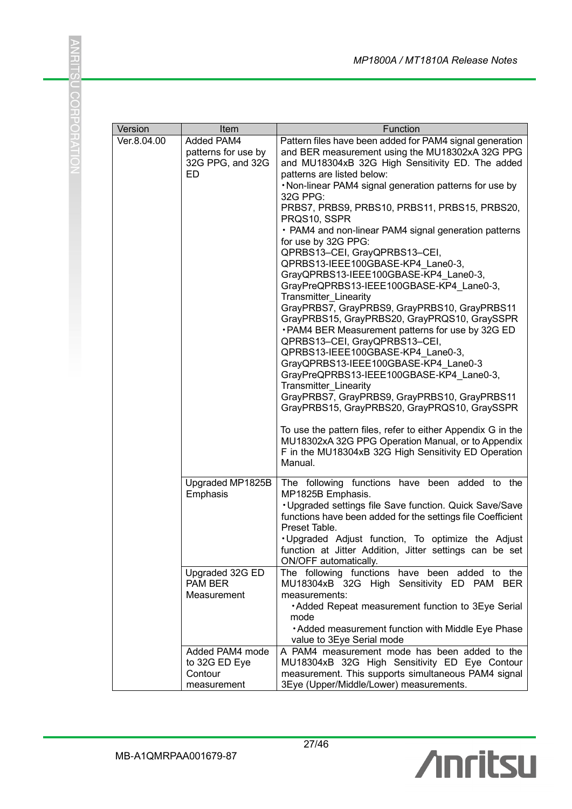| Version     | Item                                                        | Function                                                                                                                                                                                                                                                                                                                                                                                                                                                                                                                                                                                                                                                                                                                                                                                                                                                                                                                                                                                                                                                                                                                                                                                                                                         |
|-------------|-------------------------------------------------------------|--------------------------------------------------------------------------------------------------------------------------------------------------------------------------------------------------------------------------------------------------------------------------------------------------------------------------------------------------------------------------------------------------------------------------------------------------------------------------------------------------------------------------------------------------------------------------------------------------------------------------------------------------------------------------------------------------------------------------------------------------------------------------------------------------------------------------------------------------------------------------------------------------------------------------------------------------------------------------------------------------------------------------------------------------------------------------------------------------------------------------------------------------------------------------------------------------------------------------------------------------|
| Ver.8.04.00 | Added PAM4<br>patterns for use by<br>32G PPG, and 32G<br>ED | Pattern files have been added for PAM4 signal generation<br>and BER measurement using the MU18302xA 32G PPG<br>and MU18304xB 32G High Sensitivity ED. The added<br>patterns are listed below:<br>. Non-linear PAM4 signal generation patterns for use by<br>32G PPG:<br>PRBS7, PRBS9, PRBS10, PRBS11, PRBS15, PRBS20,<br>PRQS10, SSPR<br>• PAM4 and non-linear PAM4 signal generation patterns<br>for use by 32G PPG:<br>QPRBS13-CEI, GrayQPRBS13-CEI,<br>QPRBS13-IEEE100GBASE-KP4 Lane0-3,<br>GrayQPRBS13-IEEE100GBASE-KP4_Lane0-3,<br>GrayPreQPRBS13-IEEE100GBASE-KP4_Lane0-3,<br><b>Transmitter Linearity</b><br>GrayPRBS7, GrayPRBS9, GrayPRBS10, GrayPRBS11<br>GrayPRBS15, GrayPRBS20, GrayPRQS10, GraySSPR<br>. PAM4 BER Measurement patterns for use by 32G ED<br>QPRBS13-CEI, GrayQPRBS13-CEI,<br>QPRBS13-IEEE100GBASE-KP4 Lane0-3,<br>GrayQPRBS13-IEEE100GBASE-KP4_Lane0-3<br>GrayPreQPRBS13-IEEE100GBASE-KP4 Lane0-3,<br>Transmitter_Linearity<br>GrayPRBS7, GrayPRBS9, GrayPRBS10, GrayPRBS11<br>GrayPRBS15, GrayPRBS20, GrayPRQS10, GraySSPR<br>To use the pattern files, refer to either Appendix G in the<br>MU18302xA 32G PPG Operation Manual, or to Appendix<br>F in the MU18304xB 32G High Sensitivity ED Operation<br>Manual. |
|             | Upgraded MP1825B<br>Emphasis                                | The following functions have been added to the<br>MP1825B Emphasis.<br>. Upgraded settings file Save function. Quick Save/Save<br>functions have been added for the settings file Coefficient<br>Preset Table.<br>. Upgraded Adjust function, To optimize the Adjust<br>function at Jitter Addition, Jitter settings can be set<br>ON/OFF automatically.                                                                                                                                                                                                                                                                                                                                                                                                                                                                                                                                                                                                                                                                                                                                                                                                                                                                                         |
|             | Upgraded 32G ED<br>PAM BER<br>Measurement                   | The following functions have been added to the<br>MU18304xB 32G High Sensitivity ED PAM BER<br>measurements:<br>• Added Repeat measurement function to 3Eye Serial<br>mode<br>• Added measurement function with Middle Eye Phase<br>value to 3Eye Serial mode                                                                                                                                                                                                                                                                                                                                                                                                                                                                                                                                                                                                                                                                                                                                                                                                                                                                                                                                                                                    |
|             | Added PAM4 mode<br>to 32G ED Eye<br>Contour<br>measurement  | A PAM4 measurement mode has been added to the<br>MU18304xB 32G High Sensitivity ED Eye Contour<br>measurement. This supports simultaneous PAM4 signal<br>3Eye (Upper/Middle/Lower) measurements.                                                                                                                                                                                                                                                                                                                                                                                                                                                                                                                                                                                                                                                                                                                                                                                                                                                                                                                                                                                                                                                 |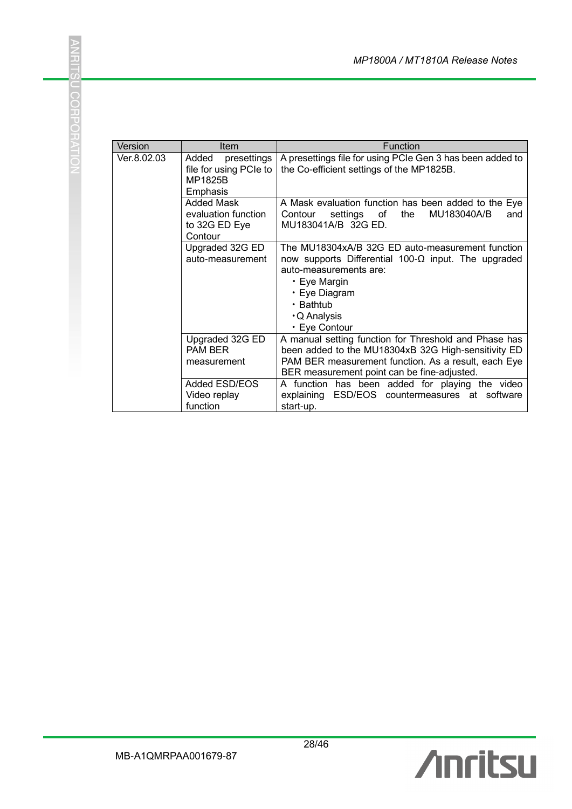| Version     | Item                                                                                                 | <b>Function</b>                                                                                                                                                                                                                                                                                                                         |
|-------------|------------------------------------------------------------------------------------------------------|-----------------------------------------------------------------------------------------------------------------------------------------------------------------------------------------------------------------------------------------------------------------------------------------------------------------------------------------|
| Ver.8.02.03 | Added<br>presettings<br>file for using PCIe to<br>MP1825B<br>Emphasis                                | A presettings file for using PCIe Gen 3 has been added to<br>the Co-efficient settings of the MP1825B.                                                                                                                                                                                                                                  |
|             | Added Mask<br>evaluation function<br>to 32G ED Eye<br>Contour                                        | A Mask evaluation function has been added to the Eye<br>settings of<br>MU183040A/B<br>the<br>Contour<br>and<br>MU183041A/B 32G ED.                                                                                                                                                                                                      |
|             | Upgraded 32G ED<br>auto-measurement                                                                  | The MU18304xA/B 32G ED auto-measurement function<br>now supports Differential 100- $\Omega$ input. The upgraded<br>auto-measurements are:<br>• Eye Margin<br>• Eye Diagram<br>• Bathtub<br>· Q Analysis<br>• Eye Contour                                                                                                                |
|             | Upgraded 32G ED<br><b>PAM BER</b><br>measurement<br><b>Added ESD/EOS</b><br>Video replay<br>function | A manual setting function for Threshold and Phase has<br>been added to the MU18304xB 32G High-sensitivity ED<br>PAM BER measurement function. As a result, each Eye<br>BER measurement point can be fine-adjusted.<br>A function has been added for playing the video<br>ESD/EOS countermeasures at software<br>explaining<br>start-up. |

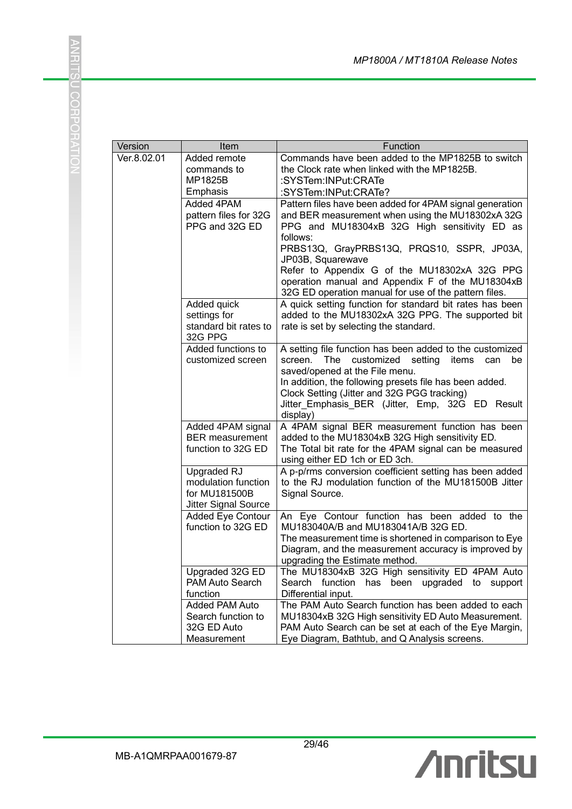| Version     | Item                                                                        | Function                                                                                                                                                                                                                                                                                                                                                                                                 |
|-------------|-----------------------------------------------------------------------------|----------------------------------------------------------------------------------------------------------------------------------------------------------------------------------------------------------------------------------------------------------------------------------------------------------------------------------------------------------------------------------------------------------|
| Ver.8.02.01 | Added remote<br>commands to<br>MP1825B<br>Emphasis                          | Commands have been added to the MP1825B to switch<br>the Clock rate when linked with the MP1825B.<br>:SYSTem:INPut:CRATe<br>:SYSTem:INPut:CRATe?                                                                                                                                                                                                                                                         |
|             | Added 4PAM<br>pattern files for 32G<br>PPG and 32G ED                       | Pattern files have been added for 4PAM signal generation<br>and BER measurement when using the MU18302xA 32G<br>PPG and MU18304xB 32G High sensitivity ED as<br>follows:<br>PRBS13Q, GrayPRBS13Q, PRQS10, SSPR, JP03A,<br>JP03B, Squarewave<br>Refer to Appendix G of the MU18302xA 32G PPG<br>operation manual and Appendix F of the MU18304xB<br>32G ED operation manual for use of the pattern files. |
|             | Added quick<br>settings for<br>standard bit rates to<br>32G PPG             | A quick setting function for standard bit rates has been<br>added to the MU18302xA 32G PPG. The supported bit<br>rate is set by selecting the standard.                                                                                                                                                                                                                                                  |
|             | Added functions to<br>customized screen                                     | A setting file function has been added to the customized<br>screen.<br>The<br>customized<br>setting<br>items<br>be<br>can<br>saved/opened at the File menu.<br>In addition, the following presets file has been added.<br>Clock Setting (Jitter and 32G PGG tracking)<br>Jitter Emphasis BER (Jitter, Emp, 32G ED Result<br>display)                                                                     |
|             | Added 4PAM signal<br><b>BER</b> measurement<br>function to 32G ED           | A 4PAM signal BER measurement function has been<br>added to the MU18304xB 32G High sensitivity ED.<br>The Total bit rate for the 4PAM signal can be measured<br>using either ED 1ch or ED 3ch.                                                                                                                                                                                                           |
|             | Upgraded RJ<br>modulation function<br>for MU181500B<br>Jitter Signal Source | A p-p/rms conversion coefficient setting has been added<br>to the RJ modulation function of the MU181500B Jitter<br>Signal Source.                                                                                                                                                                                                                                                                       |
|             | <b>Added Eye Contour</b><br>function to 32G ED                              | An Eye Contour function has been added to the<br>MU183040A/B and MU183041A/B 32G ED.<br>The measurement time is shortened in comparison to Eye<br>Diagram, and the measurement accuracy is improved by<br>upgrading the Estimate method.                                                                                                                                                                 |
|             | Upgraded 32G ED<br>PAM Auto Search<br>function                              | The MU18304xB 32G High sensitivity ED 4PAM Auto<br>function<br>upgraded to<br>Search<br>has<br>been<br>support<br>Differential input.                                                                                                                                                                                                                                                                    |
|             | Added PAM Auto<br>Search function to<br>32G ED Auto<br>Measurement          | The PAM Auto Search function has been added to each<br>MU18304xB 32G High sensitivity ED Auto Measurement.<br>PAM Auto Search can be set at each of the Eye Margin,<br>Eye Diagram, Bathtub, and Q Analysis screens.                                                                                                                                                                                     |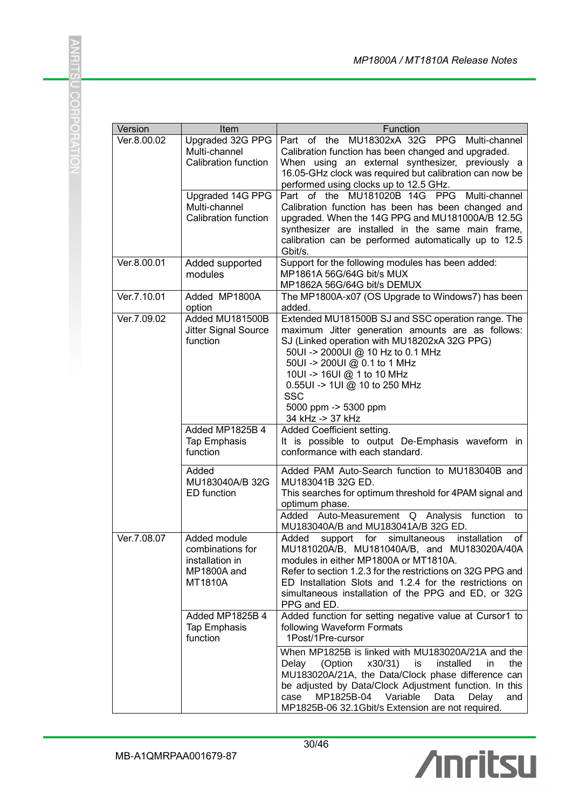| Version     | Item                                                                          | Function                                                                                                                                                                                                                                                                                                                                              |
|-------------|-------------------------------------------------------------------------------|-------------------------------------------------------------------------------------------------------------------------------------------------------------------------------------------------------------------------------------------------------------------------------------------------------------------------------------------------------|
| Ver.8.00.02 | Upgraded 32G PPG<br>Multi-channel<br>Calibration function                     | Part of the MU18302xA 32G PPG Multi-channel<br>Calibration function has been changed and upgraded.<br>When using an external synthesizer, previously a<br>16.05-GHz clock was required but calibration can now be<br>performed using clocks up to 12.5 GHz.                                                                                           |
|             | Upgraded 14G PPG<br>Multi-channel<br>Calibration function                     | Part of the MU181020B 14G PPG<br>Multi-channel<br>Calibration function has been has been changed and<br>upgraded. When the 14G PPG and MU181000A/B 12.5G<br>synthesizer are installed in the same main frame,<br>calibration can be performed automatically up to 12.5<br>Gbit/s.                                                                     |
| Ver.8.00.01 | Added supported<br>modules                                                    | Support for the following modules has been added:<br>MP1861A 56G/64G bit/s MUX<br>MP1862A 56G/64G bit/s DEMUX                                                                                                                                                                                                                                         |
| Ver.7.10.01 | Added MP1800A<br>option                                                       | The MP1800A-x07 (OS Upgrade to Windows7) has been<br>added.                                                                                                                                                                                                                                                                                           |
| Ver.7.09.02 | Added MU181500B<br>Jitter Signal Source<br>function                           | Extended MU181500B SJ and SSC operation range. The<br>maximum Jitter generation amounts are as follows:<br>SJ (Linked operation with MU18202xA 32G PPG)<br>50UI -> 2000UI @ 10 Hz to 0.1 MHz<br>50UI -> 200UI @ 0.1 to 1 MHz<br>10UI -> 16UI @ 1 to 10 MHz<br>0.55UI -> 1UI @ 10 to 250 MHz<br><b>SSC</b><br>5000 ppm -> 5300 ppm<br>34 kHz -> 37 kHz |
|             | Added MP1825B 4<br><b>Tap Emphasis</b><br>function                            | Added Coefficient setting.<br>It is possible to output De-Emphasis waveform in<br>conformance with each standard.                                                                                                                                                                                                                                     |
|             | Added<br>MU183040A/B 32G<br><b>ED</b> function                                | Added PAM Auto-Search function to MU183040B and<br>MU183041B 32G ED.<br>This searches for optimum threshold for 4PAM signal and<br>optimum phase.<br>Added Auto-Measurement Q Analysis function to<br>MU183040A/B and MU183041A/B 32G ED.                                                                                                             |
| Ver.7.08.07 | Added module<br>combinations for<br>installation in<br>MP1800A and<br>MT1810A | Added<br>support for<br>simultaneous<br>installation<br>of<br>MU181020A/B, MU181040A/B, and MU183020A/40A<br>modules in either MP1800A or MT1810A.<br>Refer to section 1.2.3 for the restrictions on 32G PPG and<br>ED Installation Slots and 1.2.4 for the restrictions on<br>simultaneous installation of the PPG and ED, or 32G<br>PPG and ED.     |
|             | Added MP1825B 4<br><b>Tap Emphasis</b><br>function                            | Added function for setting negative value at Cursor1 to<br>following Waveform Formats<br>1Post/1Pre-cursor                                                                                                                                                                                                                                            |
|             |                                                                               | When MP1825B is linked with MU183020A/21A and the<br>x30/31)<br>Delay<br>(Option<br>is<br>installed<br>in<br>the<br>MU183020A/21A, the Data/Clock phase difference can<br>be adjusted by Data/Clock Adjustment function. In this<br>MP1825B-04 Variable<br>case<br>Data<br>Delay<br>and<br>MP1825B-06 32.1Gbit/s Extension are not required.          |

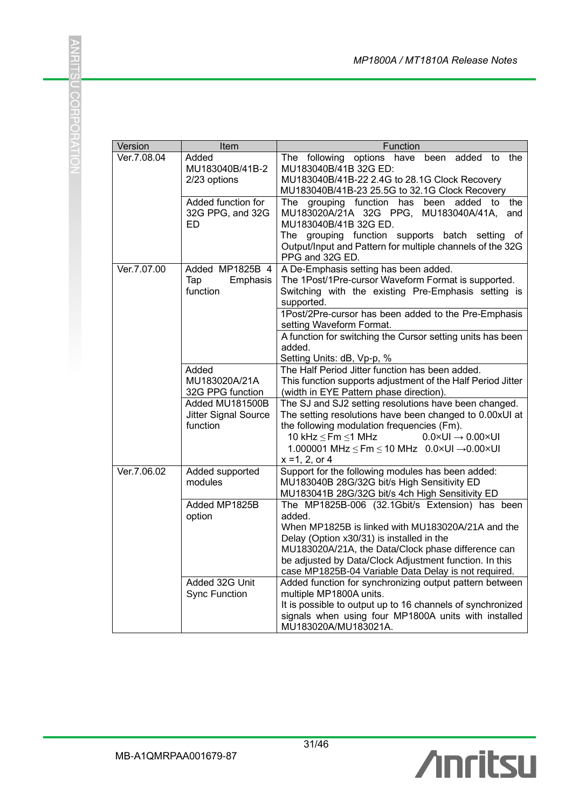| Version     | Item                                                                                              | Function                                                                                                                                                                                                                                                                                                                                                                                                                                                                                          |
|-------------|---------------------------------------------------------------------------------------------------|---------------------------------------------------------------------------------------------------------------------------------------------------------------------------------------------------------------------------------------------------------------------------------------------------------------------------------------------------------------------------------------------------------------------------------------------------------------------------------------------------|
| Ver.7.08.04 | Added<br>MU183040B/41B-2<br>2/23 options                                                          | following<br>options have been added to the<br>The<br>MU183040B/41B 32G ED:<br>MU183040B/41B-22 2.4G to 28.1G Clock Recovery<br>MU183040B/41B-23 25.5G to 32.1G Clock Recovery                                                                                                                                                                                                                                                                                                                    |
|             | Added function for<br>32G PPG, and 32G<br>ED                                                      | has<br>the<br>The grouping function<br>been added<br>to<br>MU183020A/21A 32G PPG,<br>MU183040A/41A,<br>and<br>MU183040B/41B 32G ED.<br>The grouping function supports batch setting<br>οf<br>Output/Input and Pattern for multiple channels of the 32G<br>PPG and 32G ED.                                                                                                                                                                                                                         |
| Ver.7.07.00 | Added MP1825B 4<br>Emphasis<br>Tap<br>function                                                    | A De-Emphasis setting has been added.<br>The 1Post/1Pre-cursor Waveform Format is supported.<br>Switching with the existing Pre-Emphasis setting is<br>supported.<br>1Post/2Pre-cursor has been added to the Pre-Emphasis<br>setting Waveform Format.<br>A function for switching the Cursor setting units has been<br>added.<br>Setting Units: dB, Vp-p, %                                                                                                                                       |
|             | Added<br>MU183020A/21A<br>32G PPG function<br>Added MU181500B<br>Jitter Signal Source<br>function | The Half Period Jitter function has been added.<br>This function supports adjustment of the Half Period Jitter<br>(width in EYE Pattern phase direction).<br>The SJ and SJ2 setting resolutions have been changed.<br>The setting resolutions have been changed to 0.00xUI at<br>the following modulation frequencies (Fm).<br>10 kHz $\leq$ Fm $\leq$ 1 MHz<br>$0.0 \times UI \rightarrow 0.00 \times UI$<br>1.000001 MHz $\le$ Fm $\le$ 10 MHz 0.0×UI $\rightarrow$ 0.00×UI<br>$x = 1, 2, or 4$ |
| Ver.7.06.02 | Added supported<br>modules                                                                        | Support for the following modules has been added:<br>MU183040B 28G/32G bit/s High Sensitivity ED<br>MU183041B 28G/32G bit/s 4ch High Sensitivity ED                                                                                                                                                                                                                                                                                                                                               |
|             | Added MP1825B<br>option                                                                           | The MP1825B-006 (32.1Gbit/s Extension) has been<br>added.<br>When MP1825B is linked with MU183020A/21A and the<br>Delay (Option x30/31) is installed in the<br>MU183020A/21A, the Data/Clock phase difference can<br>be adjusted by Data/Clock Adjustment function. In this<br>case MP1825B-04 Variable Data Delay is not required.                                                                                                                                                               |
|             | Added 32G Unit<br><b>Sync Function</b>                                                            | Added function for synchronizing output pattern between<br>multiple MP1800A units.<br>It is possible to output up to 16 channels of synchronized<br>signals when using four MP1800A units with installed<br>MU183020A/MU183021A.                                                                                                                                                                                                                                                                  |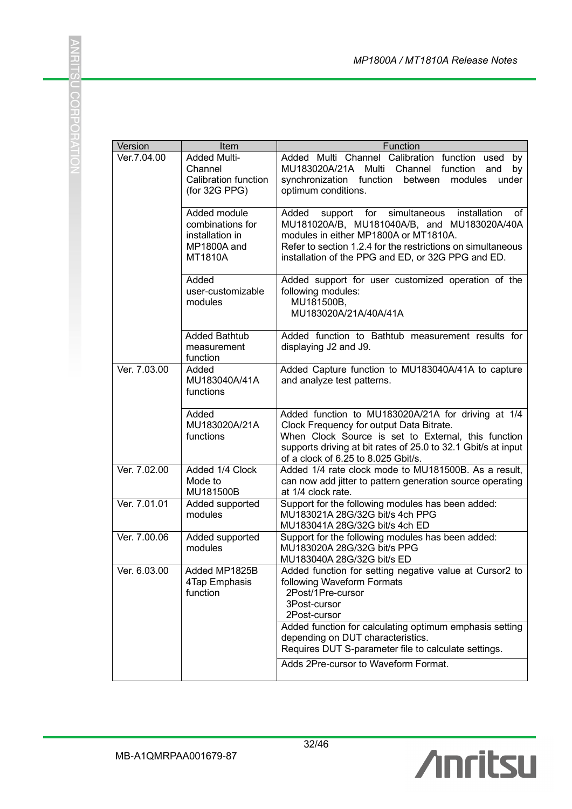| Version      | Item                                                                          | Function                                                                                                                                                                                                                                                                                                                                   |
|--------------|-------------------------------------------------------------------------------|--------------------------------------------------------------------------------------------------------------------------------------------------------------------------------------------------------------------------------------------------------------------------------------------------------------------------------------------|
| Ver.7.04.00  | Added Multi-<br>Channel<br>Calibration function<br>(for 32G PPG)              | Added Multi Channel Calibration function used<br>by<br>MU183020A/21A<br>Multi Channel<br>function<br>and<br>by<br>synchronization function between<br>modules<br>under<br>optimum conditions.                                                                                                                                              |
|              | Added module<br>combinations for<br>installation in<br>MP1800A and<br>MT1810A | support for simultaneous installation<br>Added<br>of<br>MU181020A/B, MU181040A/B, and MU183020A/40A<br>modules in either MP1800A or MT1810A.<br>Refer to section 1.2.4 for the restrictions on simultaneous<br>installation of the PPG and ED, or 32G PPG and ED.                                                                          |
|              | Added<br>user-customizable<br>modules                                         | Added support for user customized operation of the<br>following modules:<br>MU181500B,<br>MU183020A/21A/40A/41A                                                                                                                                                                                                                            |
|              | <b>Added Bathtub</b><br>measurement<br>function                               | Added function to Bathtub measurement results for<br>displaying J2 and J9.                                                                                                                                                                                                                                                                 |
| Ver. 7.03.00 | Added<br>MU183040A/41A<br>functions                                           | Added Capture function to MU183040A/41A to capture<br>and analyze test patterns.                                                                                                                                                                                                                                                           |
|              | Added<br>MU183020A/21A<br>functions                                           | Added function to MU183020A/21A for driving at 1/4<br>Clock Frequency for output Data Bitrate.<br>When Clock Source is set to External, this function<br>supports driving at bit rates of 25.0 to 32.1 Gbit/s at input<br>of a clock of 6.25 to 8.025 Gbit/s.                                                                              |
| Ver. 7.02.00 | Added 1/4 Clock<br>Mode to<br>MU181500B                                       | Added 1/4 rate clock mode to MU181500B. As a result,<br>can now add jitter to pattern generation source operating<br>at 1/4 clock rate.                                                                                                                                                                                                    |
| Ver. 7.01.01 | Added supported<br>modules                                                    | Support for the following modules has been added:<br>MU183021A 28G/32G bit/s 4ch PPG                                                                                                                                                                                                                                                       |
| Ver. 7.00.06 | Added supported<br>modules                                                    | Support for the following modules has been added:<br>MU183020A 28G/32G bit/s PPG                                                                                                                                                                                                                                                           |
| Ver. 6.03.00 | Added MP1825B<br>4Tap Emphasis<br>function                                    | Added function for setting negative value at Cursor2 to<br>following Waveform Formats<br>2Post/1Pre-cursor<br>3Post-cursor<br>2Post-cursor<br>Added function for calculating optimum emphasis setting<br>depending on DUT characteristics.<br>Requires DUT S-parameter file to calculate settings.<br>Adds 2Pre-cursor to Waveform Format. |
|              |                                                                               | MU183041A 28G/32G bit/s 4ch ED<br>MU183040A 28G/32G bit/s ED                                                                                                                                                                                                                                                                               |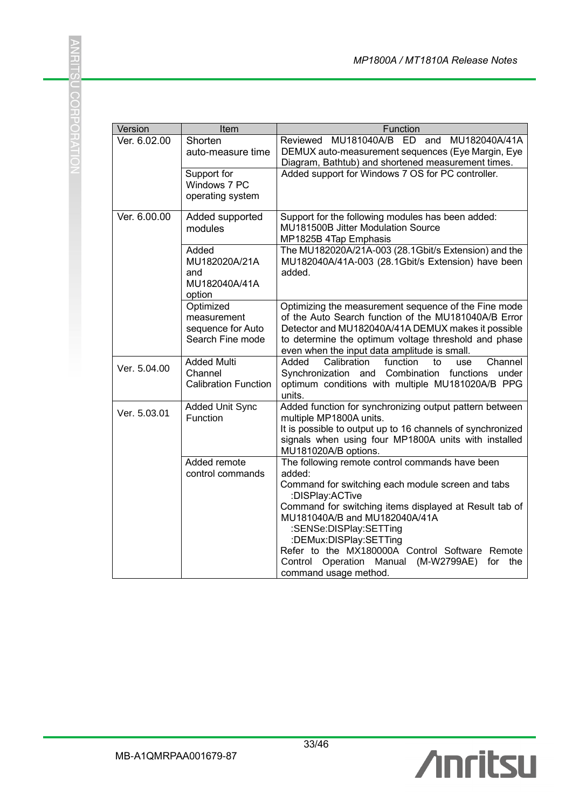| Version      | Item                                                              | Function                                                                                                                                                                                                                                                                                                                                                                                                             |
|--------------|-------------------------------------------------------------------|----------------------------------------------------------------------------------------------------------------------------------------------------------------------------------------------------------------------------------------------------------------------------------------------------------------------------------------------------------------------------------------------------------------------|
| Ver. 6.02.00 | Shorten<br>auto-measure time                                      | Reviewed MU181040A/B ED and MU182040A/41A<br>DEMUX auto-measurement sequences (Eye Margin, Eye<br>Diagram, Bathtub) and shortened measurement times.                                                                                                                                                                                                                                                                 |
|              | Support for<br>Windows 7 PC<br>operating system                   | Added support for Windows 7 OS for PC controller.                                                                                                                                                                                                                                                                                                                                                                    |
| Ver. 6.00.00 | Added supported<br>modules                                        | Support for the following modules has been added:<br>MU181500B Jitter Modulation Source<br>MP1825B 4Tap Emphasis                                                                                                                                                                                                                                                                                                     |
|              | Added<br>MU182020A/21A<br>and<br>MU182040A/41A<br>option          | The MU182020A/21A-003 (28.1Gbit/s Extension) and the<br>MU182040A/41A-003 (28.1Gbit/s Extension) have been<br>added.                                                                                                                                                                                                                                                                                                 |
|              | Optimized<br>measurement<br>sequence for Auto<br>Search Fine mode | Optimizing the measurement sequence of the Fine mode<br>of the Auto Search function of the MU181040A/B Error<br>Detector and MU182040A/41A DEMUX makes it possible<br>to determine the optimum voltage threshold and phase<br>even when the input data amplitude is small.                                                                                                                                           |
| Ver. 5.04.00 | <b>Added Multi</b><br>Channel<br><b>Calibration Function</b>      | Added<br>Calibration<br>function<br>to<br>use<br>Channel<br>Synchronization and Combination functions<br>under<br>optimum conditions with multiple MU181020A/B PPG<br>units.                                                                                                                                                                                                                                         |
| Ver. 5.03.01 | <b>Added Unit Sync</b><br>Function                                | Added function for synchronizing output pattern between<br>multiple MP1800A units.<br>It is possible to output up to 16 channels of synchronized<br>signals when using four MP1800A units with installed<br>MU181020A/B options.                                                                                                                                                                                     |
|              | Added remote<br>control commands                                  | The following remote control commands have been<br>added:<br>Command for switching each module screen and tabs<br>:DISPlay:ACTive<br>Command for switching items displayed at Result tab of<br>MU181040A/B and MU182040A/41A<br>:SENSe:DISPlay:SETTing<br>:DEMux:DISPlay:SETTing<br>Refer to the MX180000A Control Software Remote<br>Control Operation Manual<br>(M-W2799AE)<br>for<br>the<br>command usage method. |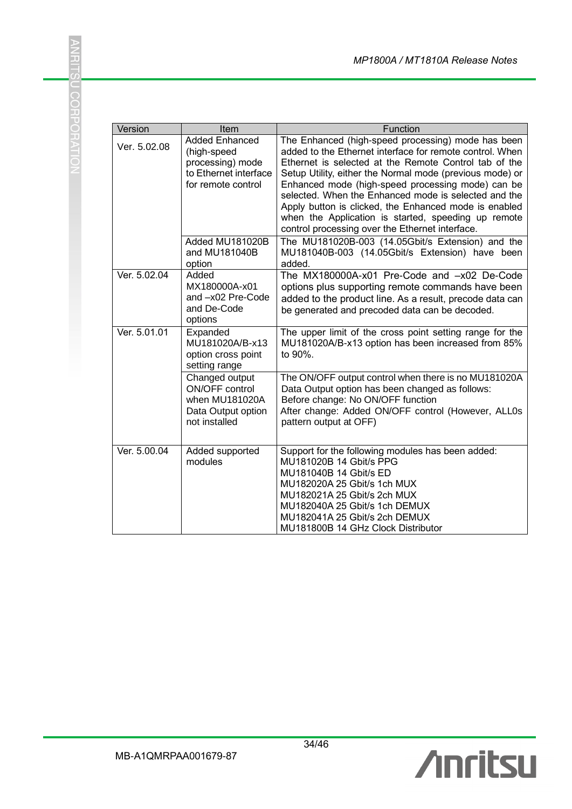| Version      | Item                                                                                                                                        | Function                                                                                                                                                                                                                                                                                                                                                                                                                                                                                                                                                                                                                    |
|--------------|---------------------------------------------------------------------------------------------------------------------------------------------|-----------------------------------------------------------------------------------------------------------------------------------------------------------------------------------------------------------------------------------------------------------------------------------------------------------------------------------------------------------------------------------------------------------------------------------------------------------------------------------------------------------------------------------------------------------------------------------------------------------------------------|
| Ver. 5.02.08 | <b>Added Enhanced</b><br>(high-speed<br>processing) mode<br>to Ethernet interface<br>for remote control<br>Added MU181020B<br>and MU181040B | The Enhanced (high-speed processing) mode has been<br>added to the Ethernet interface for remote control. When<br>Ethernet is selected at the Remote Control tab of the<br>Setup Utility, either the Normal mode (previous mode) or<br>Enhanced mode (high-speed processing mode) can be<br>selected. When the Enhanced mode is selected and the<br>Apply button is clicked, the Enhanced mode is enabled<br>when the Application is started, speeding up remote<br>control processing over the Ethernet interface.<br>The MU181020B-003 (14.05Gbit/s Extension) and the<br>MU181040B-003 (14.05Gbit/s Extension) have been |
|              | option                                                                                                                                      | added.                                                                                                                                                                                                                                                                                                                                                                                                                                                                                                                                                                                                                      |
| Ver. 5.02.04 | Added<br>MX180000A-x01<br>and -x02 Pre-Code<br>and De-Code<br>options                                                                       | The MX180000A-x01 Pre-Code and -x02 De-Code<br>options plus supporting remote commands have been<br>added to the product line. As a result, precode data can<br>be generated and precoded data can be decoded.                                                                                                                                                                                                                                                                                                                                                                                                              |
| Ver. 5.01.01 | Expanded<br>MU181020A/B-x13<br>option cross point<br>setting range                                                                          | The upper limit of the cross point setting range for the<br>MU181020A/B-x13 option has been increased from 85%<br>to 90%.                                                                                                                                                                                                                                                                                                                                                                                                                                                                                                   |
|              | Changed output<br>ON/OFF control<br>when MU181020A<br>Data Output option<br>not installed                                                   | The ON/OFF output control when there is no MU181020A<br>Data Output option has been changed as follows:<br>Before change: No ON/OFF function<br>After change: Added ON/OFF control (However, ALLOs<br>pattern output at OFF)                                                                                                                                                                                                                                                                                                                                                                                                |
| Ver. 5.00.04 | Added supported<br>modules                                                                                                                  | Support for the following modules has been added:<br>MU181020B 14 Gbit/s PPG<br>MU181040B 14 Gbit/s ED<br>MU182020A 25 Gbit/s 1ch MUX<br>MU182021A 25 Gbit/s 2ch MUX<br>MU182040A 25 Gbit/s 1ch DEMUX<br>MU182041A 25 Gbit/s 2ch DEMUX<br>MU181800B 14 GHz Clock Distributor                                                                                                                                                                                                                                                                                                                                                |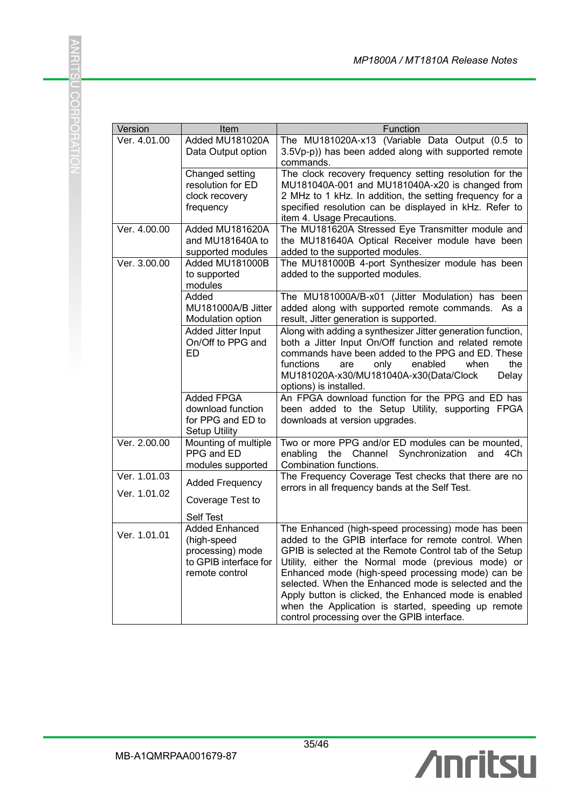| Version      | Item                                                                                                             | Function                                                                                                                                                                                                                                                                                                                                                                                                                                                                                                |
|--------------|------------------------------------------------------------------------------------------------------------------|---------------------------------------------------------------------------------------------------------------------------------------------------------------------------------------------------------------------------------------------------------------------------------------------------------------------------------------------------------------------------------------------------------------------------------------------------------------------------------------------------------|
| Ver. 4.01.00 | Added MU181020A<br>Data Output option                                                                            | The MU181020A-x13 (Variable Data Output (0.5 to<br>3.5Vp-p)) has been added along with supported remote<br>commands.                                                                                                                                                                                                                                                                                                                                                                                    |
|              | Changed setting<br>resolution for ED<br>clock recovery<br>frequency                                              | The clock recovery frequency setting resolution for the<br>MU181040A-001 and MU181040A-x20 is changed from<br>2 MHz to 1 kHz. In addition, the setting frequency for a<br>specified resolution can be displayed in kHz. Refer to<br>item 4. Usage Precautions.                                                                                                                                                                                                                                          |
| Ver. 4.00.00 | Added MU181620A<br>and MU181640A to<br>supported modules                                                         | The MU181620A Stressed Eye Transmitter module and<br>the MU181640A Optical Receiver module have been<br>added to the supported modules.                                                                                                                                                                                                                                                                                                                                                                 |
| Ver. 3.00.00 | Added MU181000B<br>to supported<br>modules                                                                       | The MU181000B 4-port Synthesizer module has been<br>added to the supported modules.                                                                                                                                                                                                                                                                                                                                                                                                                     |
|              | Added<br>MU181000A/B Jitter<br>Modulation option                                                                 | The MU181000A/B-x01 (Jitter Modulation) has been<br>added along with supported remote commands. As a<br>result, Jitter generation is supported.                                                                                                                                                                                                                                                                                                                                                         |
|              | Added Jitter Input<br>On/Off to PPG and<br><b>ED</b>                                                             | Along with adding a synthesizer Jitter generation function,<br>both a Jitter Input On/Off function and related remote<br>commands have been added to the PPG and ED. These<br>functions<br>enabled<br>the<br>are<br>only<br>when<br>MU181020A-x30/MU181040A-x30(Data/Clock<br>Delay<br>options) is installed.                                                                                                                                                                                           |
|              | <b>Added FPGA</b><br>download function<br>for PPG and ED to<br><b>Setup Utility</b>                              | An FPGA download function for the PPG and ED has<br>been added to the Setup Utility, supporting FPGA<br>downloads at version upgrades.                                                                                                                                                                                                                                                                                                                                                                  |
| Ver. 2.00.00 | Mounting of multiple<br>PPG and ED<br>modules supported                                                          | Two or more PPG and/or ED modules can be mounted,<br>the Channel<br>Synchronization<br>enabling<br>and<br>4Ch<br>Combination functions.                                                                                                                                                                                                                                                                                                                                                                 |
| Ver. 1.01.03 | <b>Added Frequency</b>                                                                                           | The Frequency Coverage Test checks that there are no                                                                                                                                                                                                                                                                                                                                                                                                                                                    |
| Ver. 1.01.02 | Coverage Test to                                                                                                 | errors in all frequency bands at the Self Test.                                                                                                                                                                                                                                                                                                                                                                                                                                                         |
| Ver. 1.01.01 | Self Test<br><b>Added Enhanced</b><br>(high-speed<br>processing) mode<br>to GPIB interface for<br>remote control | The Enhanced (high-speed processing) mode has been<br>added to the GPIB interface for remote control. When<br>GPIB is selected at the Remote Control tab of the Setup<br>Utility, either the Normal mode (previous mode) or<br>Enhanced mode (high-speed processing mode) can be<br>selected. When the Enhanced mode is selected and the<br>Apply button is clicked, the Enhanced mode is enabled<br>when the Application is started, speeding up remote<br>control processing over the GPIB interface. |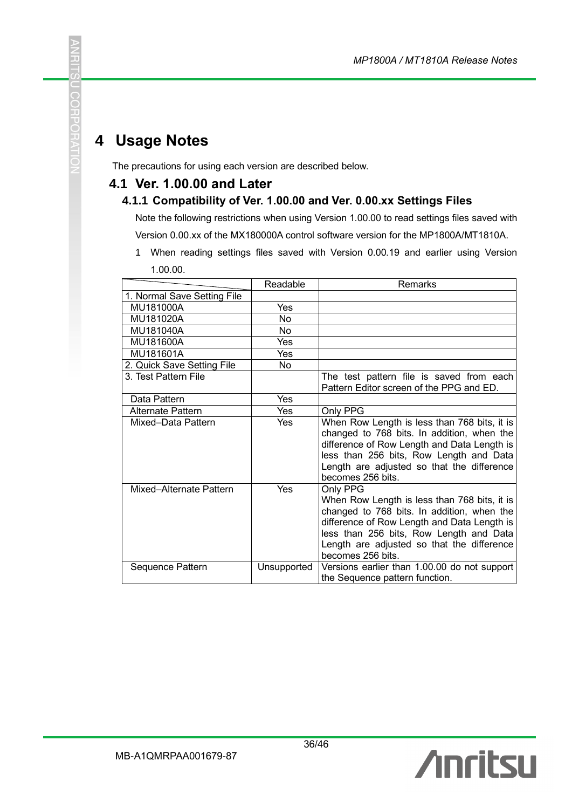# **4 Usage Notes**

도

U CORPORAT

The precautions for using each version are described below.

#### **4.1 Ver. 1.00.00 and Later**

#### **4.1.1 Compatibility of Ver. 1.00.00 and Ver. 0.00.xx Settings Files**

Note the following restrictions when using Version 1.00.00 to read settings files saved with Version 0.00.xx of the MX180000A control software version for the MP1800A/MT1810A.

1 When reading settings files saved with Version 0.00.19 and earlier using Version 1.00.00.

|                             | Readable    | <b>Remarks</b>                                                                                                                                                                                                                                                      |
|-----------------------------|-------------|---------------------------------------------------------------------------------------------------------------------------------------------------------------------------------------------------------------------------------------------------------------------|
| 1. Normal Save Setting File |             |                                                                                                                                                                                                                                                                     |
| MU181000A                   | Yes         |                                                                                                                                                                                                                                                                     |
| MU181020A                   | <b>No</b>   |                                                                                                                                                                                                                                                                     |
| MU181040A                   | No.         |                                                                                                                                                                                                                                                                     |
| MU181600A                   | Yes         |                                                                                                                                                                                                                                                                     |
| MU181601A                   | Yes         |                                                                                                                                                                                                                                                                     |
| 2. Quick Save Setting File  | No.         |                                                                                                                                                                                                                                                                     |
| 3. Test Pattern File        |             | The test pattern file is saved from each<br>Pattern Editor screen of the PPG and ED.                                                                                                                                                                                |
| Data Pattern                | Yes         |                                                                                                                                                                                                                                                                     |
| Alternate Pattern           | Yes         | Only PPG                                                                                                                                                                                                                                                            |
| Mixed-Data Pattern          | Yes         | When Row Length is less than 768 bits, it is<br>changed to 768 bits. In addition, when the<br>difference of Row Length and Data Length is<br>less than 256 bits, Row Length and Data<br>Length are adjusted so that the difference<br>becomes 256 bits.             |
| Mixed-Alternate Pattern     | Yes         | Only PPG<br>When Row Length is less than 768 bits, it is<br>changed to 768 bits. In addition, when the<br>difference of Row Length and Data Length is<br>less than 256 bits, Row Length and Data<br>Length are adjusted so that the difference<br>becomes 256 bits. |
| Sequence Pattern            | Unsupported | Versions earlier than 1.00.00 do not support<br>the Sequence pattern function.                                                                                                                                                                                      |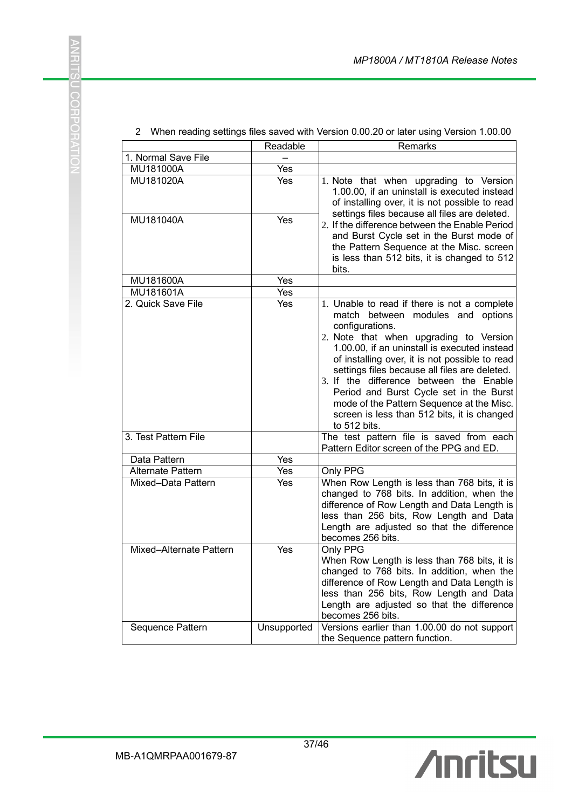|                          | Readable    | Remarks                                                                                                                                                                                                                                                                                                                                                                                                                                                                                             |
|--------------------------|-------------|-----------------------------------------------------------------------------------------------------------------------------------------------------------------------------------------------------------------------------------------------------------------------------------------------------------------------------------------------------------------------------------------------------------------------------------------------------------------------------------------------------|
| 1. Normal Save File      |             |                                                                                                                                                                                                                                                                                                                                                                                                                                                                                                     |
| MU181000A                | Yes         |                                                                                                                                                                                                                                                                                                                                                                                                                                                                                                     |
| MU181020A                | Yes         | 1. Note that when upgrading to Version<br>1.00.00, if an uninstall is executed instead<br>of installing over, it is not possible to read                                                                                                                                                                                                                                                                                                                                                            |
| MU181040A                | Yes         | settings files because all files are deleted.<br>2. If the difference between the Enable Period<br>and Burst Cycle set in the Burst mode of<br>the Pattern Sequence at the Misc. screen<br>is less than 512 bits, it is changed to 512<br>bits.                                                                                                                                                                                                                                                     |
| MU181600A                | Yes         |                                                                                                                                                                                                                                                                                                                                                                                                                                                                                                     |
| MU181601A                | Yes         |                                                                                                                                                                                                                                                                                                                                                                                                                                                                                                     |
| 2. Quick Save File       | Yes         | 1. Unable to read if there is not a complete<br>match between modules and options<br>configurations.<br>2. Note that when upgrading to Version<br>1.00.00, if an uninstall is executed instead<br>of installing over, it is not possible to read<br>settings files because all files are deleted.<br>3. If the difference between the Enable<br>Period and Burst Cycle set in the Burst<br>mode of the Pattern Sequence at the Misc.<br>screen is less than 512 bits, it is changed<br>to 512 bits. |
| 3. Test Pattern File     |             | The test pattern file is saved from each<br>Pattern Editor screen of the PPG and ED.                                                                                                                                                                                                                                                                                                                                                                                                                |
| Data Pattern             | Yes         |                                                                                                                                                                                                                                                                                                                                                                                                                                                                                                     |
| <b>Alternate Pattern</b> | Yes         | Only PPG                                                                                                                                                                                                                                                                                                                                                                                                                                                                                            |
| Mixed-Data Pattern       | Yes         | When Row Length is less than 768 bits, it is<br>changed to 768 bits. In addition, when the<br>difference of Row Length and Data Length is<br>less than 256 bits, Row Length and Data<br>Length are adjusted so that the difference<br>becomes 256 bits.                                                                                                                                                                                                                                             |
| Mixed-Alternate Pattern  | Yes         | Only PPG<br>When Row Length is less than 768 bits, it is<br>changed to 768 bits. In addition, when the<br>difference of Row Length and Data Length is<br>less than 256 bits, Row Length and Data<br>Length are adjusted so that the difference<br>becomes 256 bits.                                                                                                                                                                                                                                 |
| Sequence Pattern         | Unsupported | Versions earlier than 1.00.00 do not support<br>the Sequence pattern function.                                                                                                                                                                                                                                                                                                                                                                                                                      |

#### 2 When reading settings files saved with Version 0.00.20 or later using Version 1.00.00

**ANRITSU CORPORATIO**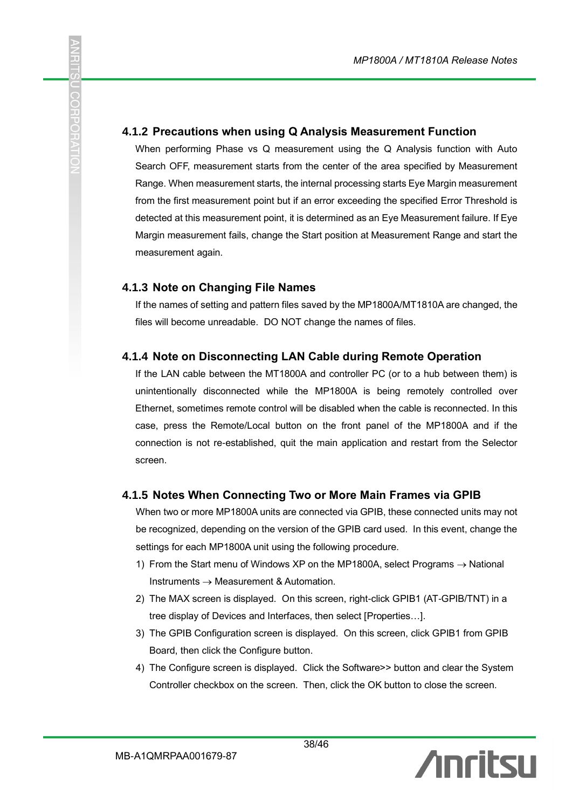#### **4.1.2 Precautions when using Q Analysis Measurement Function**

When performing Phase vs Q measurement using the Q Analysis function with Auto Search OFF, measurement starts from the center of the area specified by Measurement Range. When measurement starts, the internal processing starts Eye Margin measurement from the first measurement point but if an error exceeding the specified Error Threshold is detected at this measurement point, it is determined as an Eye Measurement failure. If Eye Margin measurement fails, change the Start position at Measurement Range and start the measurement again.

#### **4.1.3 Note on Changing File Names**

こ<br>CCH<br>エ

If the names of setting and pattern files saved by the MP1800A/MT1810A are changed, the files will become unreadable. DO NOT change the names of files.

#### **4.1.4 Note on Disconnecting LAN Cable during Remote Operation**

If the LAN cable between the MT1800A and controller PC (or to a hub between them) is unintentionally disconnected while the MP1800A is being remotely controlled over Ethernet, sometimes remote control will be disabled when the cable is reconnected. In this case, press the Remote/Local button on the front panel of the MP1800A and if the connection is not re-established, quit the main application and restart from the Selector screen.

#### **4.1.5 Notes When Connecting Two or More Main Frames via GPIB**

When two or more MP1800A units are connected via GPIB, these connected units may not be recognized, depending on the version of the GPIB card used. In this event, change the settings for each MP1800A unit using the following procedure.

- 1) From the Start menu of Windows XP on the MP1800A, select Programs  $\rightarrow$  National Instruments → Measurement & Automation.
- 2) The MAX screen is displayed. On this screen, right-click GPIB1 (AT-GPIB/TNT) in a tree display of Devices and Interfaces, then select [Properties…].
- 3) The GPIB Configuration screen is displayed. On this screen, click GPIB1 from GPIB Board, then click the Configure button.
- 4) The Configure screen is displayed. Click the Software>> button and clear the System Controller checkbox on the screen. Then, click the OK button to close the screen.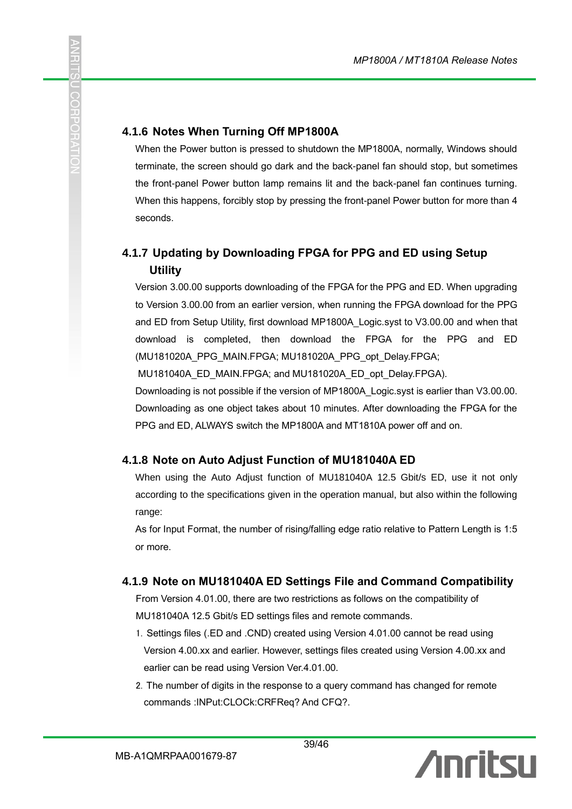#### **4.1.6 Notes When Turning Off MP1800A**

C<br>S<br>E

Ë

When the Power button is pressed to shutdown the MP1800A, normally, Windows should terminate, the screen should go dark and the back-panel fan should stop, but sometimes the front-panel Power button lamp remains lit and the back-panel fan continues turning. When this happens, forcibly stop by pressing the front-panel Power button for more than 4 seconds.

# **4.1.7 Updating by Downloading FPGA for PPG and ED using Setup Utility**

Version 3.00.00 supports downloading of the FPGA for the PPG and ED. When upgrading to Version 3.00.00 from an earlier version, when running the FPGA download for the PPG and ED from Setup Utility, first download MP1800A\_Logic.syst to V3.00.00 and when that download is completed, then download the FPGA for the PPG and ED (MU181020A\_PPG\_MAIN.FPGA; MU181020A\_PPG\_opt\_Delay.FPGA;

MU181040A\_ED\_MAIN.FPGA; and MU181020A\_ED\_opt\_Delay.FPGA).

Downloading is not possible if the version of MP1800A\_Logic.syst is earlier than V3.00.00. Downloading as one object takes about 10 minutes. After downloading the FPGA for the PPG and ED, ALWAYS switch the MP1800A and MT1810A power off and on.

#### **4.1.8 Note on Auto Adjust Function of MU181040A ED**

When using the Auto Adjust function of MU181040A 12.5 Gbit/s ED, use it not only according to the specifications given in the operation manual, but also within the following range:

As for Input Format, the number of rising/falling edge ratio relative to Pattern Length is 1:5 or more.

#### **4.1.9 Note on MU181040A ED Settings File and Command Compatibility**

From Version 4.01.00, there are two restrictions as follows on the compatibility of MU181040A 12.5 Gbit/s ED settings files and remote commands.

- 1. Settings files (.ED and .CND) created using Version 4.01.00 cannot be read using Version 4.00.xx and earlier. However, settings files created using Version 4.00.xx and earlier can be read using Version Ver.4.01.00.
- 2. The number of digits in the response to a query command has changed for remote commands :INPut:CLOCk:CRFReq? And CFQ?.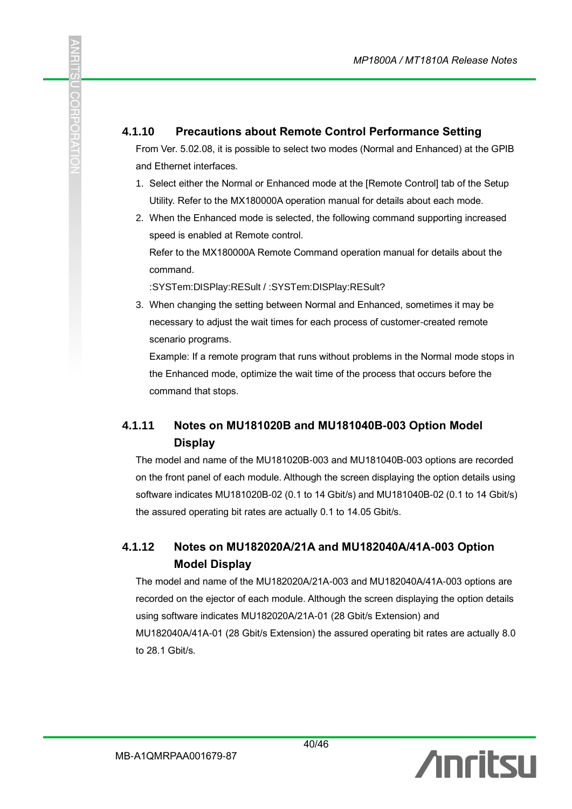#### **4.1.10 Precautions about Remote Control Performance Setting**

From Ver. 5.02.08, it is possible to select two modes (Normal and Enhanced) at the GPIB and Ethernet interfaces.

- 1. Select either the Normal or Enhanced mode at the [Remote Control] tab of the Setup Utility. Refer to the MX180000A operation manual for details about each mode.
- 2. When the Enhanced mode is selected, the following command supporting increased speed is enabled at Remote control.

Refer to the MX180000A Remote Command operation manual for details about the command.

:SYSTem:DISPlay:RESult / :SYSTem:DISPlay:RESult?

こ<br>CCH<br>エ

Ë

3. When changing the setting between Normal and Enhanced, sometimes it may be necessary to adjust the wait times for each process of customer-created remote scenario programs.

Example: If a remote program that runs without problems in the Normal mode stops in the Enhanced mode, optimize the wait time of the process that occurs before the command that stops.

#### **4.1.11 Notes on MU181020B and MU181040B-003 Option Model Display**

The model and name of the MU181020B-003 and MU181040B-003 options are recorded on the front panel of each module. Although the screen displaying the option details using software indicates MU181020B-02 (0.1 to 14 Gbit/s) and MU181040B-02 (0.1 to 14 Gbit/s) the assured operating bit rates are actually 0.1 to 14.05 Gbit/s.

#### **4.1.12 Notes on MU182020A/21A and MU182040A/41A-003 Option Model Display**

The model and name of the MU182020A/21A-003 and MU182040A/41A-003 options are recorded on the ejector of each module. Although the screen displaying the option details using software indicates MU182020A/21A-01 (28 Gbit/s Extension) and MU182040A/41A-01 (28 Gbit/s Extension) the assured operating bit rates are actually 8.0 to 28.1 Gbit/s.

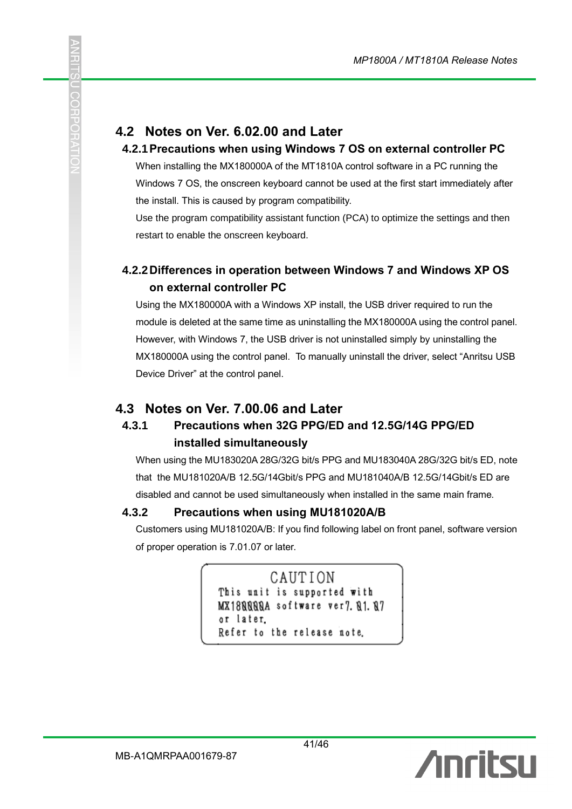# **4.2 Notes on Ver. 6.02.00 and Later**

SCH

#### **4.2.1Precautions when using Windows 7 OS on external controller PC**

When installing the MX180000A of the MT1810A control software in a PC running the Windows 7 OS, the onscreen keyboard cannot be used at the first start immediately after the install. This is caused by program compatibility.

Use the program compatibility assistant function (PCA) to optimize the settings and then restart to enable the onscreen keyboard.

#### **4.2.2Differences in operation between Windows 7 and Windows XP OS on external controller PC**

Using the MX180000A with a Windows XP install, the USB driver required to run the module is deleted at the same time as uninstalling the MX180000A using the control panel. However, with Windows 7, the USB driver is not uninstalled simply by uninstalling the MX180000A using the control panel. To manually uninstall the driver, select "Anritsu USB Device Driver" at the control panel.

#### **4.3 Notes on Ver. 7.00.06 and Later**

#### **4.3.1 Precautions when 32G PPG/ED and 12.5G/14G PPG/ED installed simultaneously**

When using the MU183020A 28G/32G bit/s PPG and MU183040A 28G/32G bit/s ED, note that the MU181020A/B 12.5G/14Gbit/s PPG and MU181040A/B 12.5G/14Gbit/s ED are disabled and cannot be used simultaneously when installed in the same main frame.

#### **4.3.2 Precautions when using MU181020A/B**

Customers using MU181020A/B: If you find following label on front panel, software version of proper operation is 7.01.07 or later.

```
CAUTION
This unit is supported with
MX188888A software ver7.81.87
or later.
Refer to the release note.
```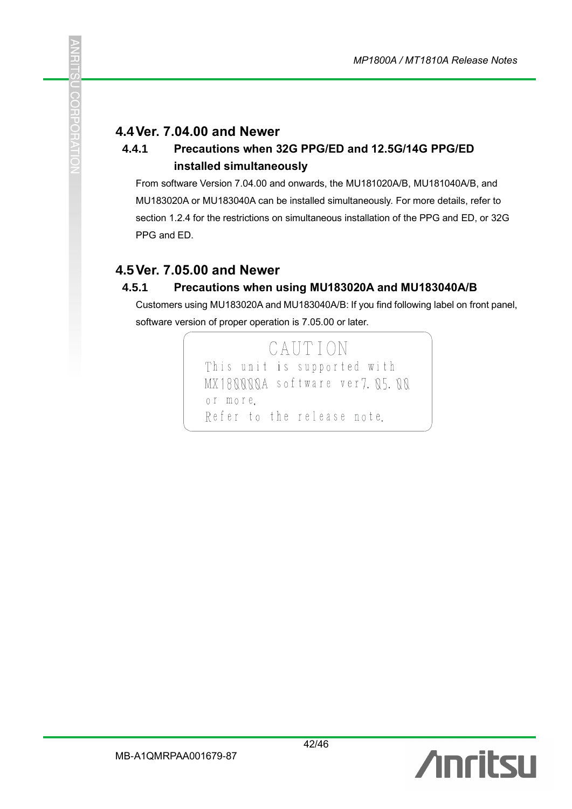#### **4.4Ver. 7.04.00 and Newer**

C<br>C<br>T

#### **4.4.1 Precautions when 32G PPG/ED and 12.5G/14G PPG/ED installed simultaneously**

From software Version 7.04.00 and onwards, the MU181020A/B, MU181040A/B, and MU183020A or MU183040A can be installed simultaneously. For more details, refer to section 1.2.4 for the restrictions on simultaneous installation of the PPG and ED, or 32G PPG and ED.

#### **4.5Ver. 7.05.00 and Newer**

#### **4.5.1 Precautions when using MU183020A and MU183040A/B**

Customers using MU183020A and MU183040A/B: If you find following label on front panel, software version of proper operation is 7.05.00 or later.

> CAUTION This unit is supported with MX18NNNNA software ver7, N5, NN or more. Refer to the release note.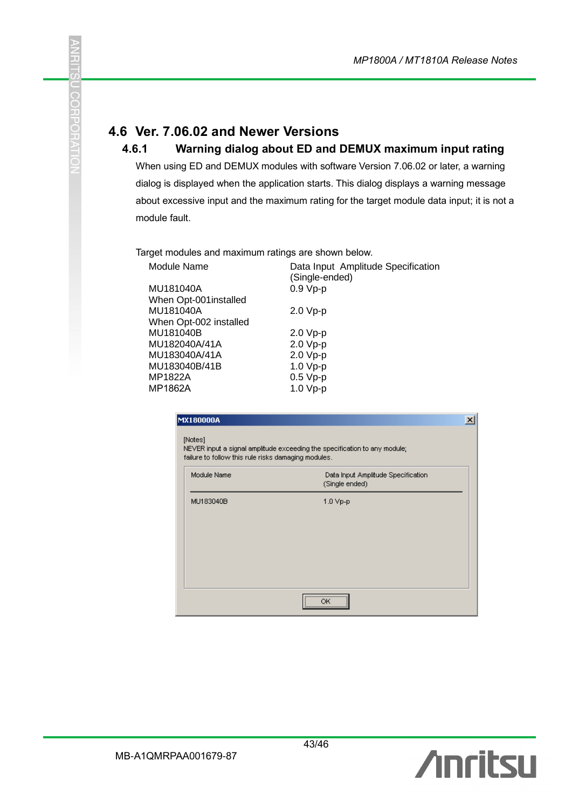# **4.6 Ver. 7.06.02 and Newer Versions**

þ.

**COHPOHA** 

#### **4.6.1 Warning dialog about ED and DEMUX maximum input rating**

When using ED and DEMUX modules with software Version 7.06.02 or later, a warning dialog is displayed when the application starts. This dialog displays a warning message about excessive input and the maximum rating for the target module data input; it is not a module fault.

Target modules and maximum ratings are shown below.

| Module Name            | Data Input Amplitude Specification<br>(Single-ended) |
|------------------------|------------------------------------------------------|
| MU181040A              | $0.9 Vp-p$                                           |
| When Opt-001 installed |                                                      |
| MU181040A              | $2.0 Vp-p$                                           |
| When Opt-002 installed |                                                      |
| MU181040B              | $2.0 Vp-p$                                           |
| MU182040A/41A          | $2.0 Vp-p$                                           |
| MU183040A/41A          | $2.0 Vp-p$                                           |
| MU183040B/41B          | $1.0 Vp-p$                                           |
| MP1822A                | $0.5 Vp-p$                                           |
| MP1862A                | $1.0 Vp-p$                                           |
|                        |                                                      |

| <b>MX180000A</b>                                               |                                                                           | × |
|----------------------------------------------------------------|---------------------------------------------------------------------------|---|
| [Notes]<br>failure to follow this rule risks damaging modules. | NEVER input a signal amplitude exceeding the specification to any module; |   |
| Module Name                                                    | Data Input Amplitude Specification<br>(Single ended)                      |   |
| MU183040B                                                      | $1.0 Vp-p$                                                                |   |
|                                                                |                                                                           |   |
|                                                                |                                                                           |   |
|                                                                |                                                                           |   |
|                                                                | <br>гıю<br>                                                               |   |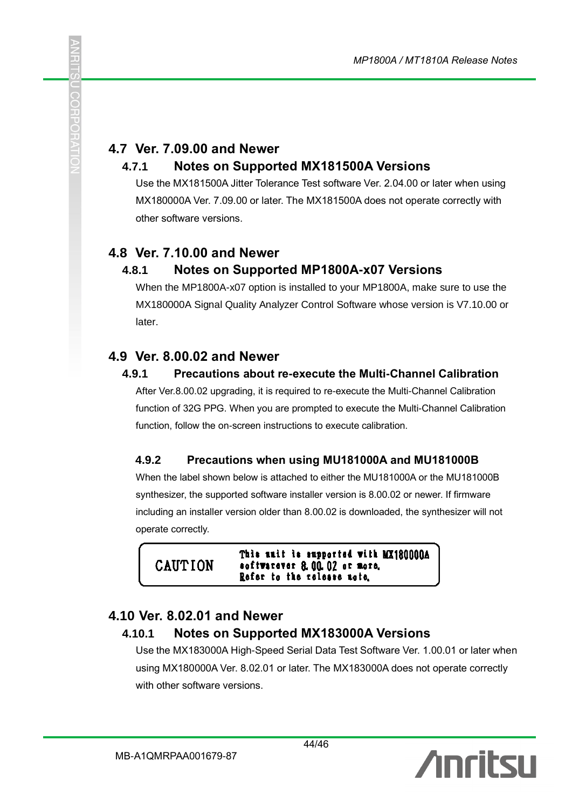# **4.7 Ver. 7.09.00 and Newer**

#### **4.7.1 Notes on Supported MX181500A Versions**

Use the MX181500A Jitter Tolerance Test software Ver. 2.04.00 or later when using MX180000A Ver. 7.09.00 or later. The MX181500A does not operate correctly with other software versions.

#### **4.8 Ver. 7.10.00 and Newer**

SOF

#### **4.8.1 Notes on Supported MP1800A-x07 Versions**

When the MP1800A-x07 option is installed to your MP1800A, make sure to use the MX180000A Signal Quality Analyzer Control Software whose version is V7.10.00 or later.

#### **4.9 Ver. 8.00.02 and Newer**

#### **4.9.1 Precautions about re-execute the Multi-Channel Calibration**

After Ver.8.00.02 upgrading, it is required to re-execute the Multi-Channel Calibration function of 32G PPG. When you are prompted to execute the Multi-Channel Calibration function, follow the on-screen instructions to execute calibration.

#### **4.9.2 Precautions when using MU181000A and MU181000B**

When the label shown below is attached to either the MU181000A or the MU181000B synthesizer, the supported software installer version is 8.00.02 or newer. If firmware including an installer version older than 8.00.02 is downloaded, the synthesizer will not operate correctly.

This unit is supported with MX1800000A **CAUTION** softwarever 8.00.02 or more. Refer to the release note.

# **4.10 Ver. 8.02.01 and Newer**

#### **4.10.1 Notes on Supported MX183000A Versions**

Use the MX183000A High-Speed Serial Data Test Software Ver. 1.00.01 or later when using MX180000A Ver. 8.02.01 or later. The MX183000A does not operate correctly with other software versions.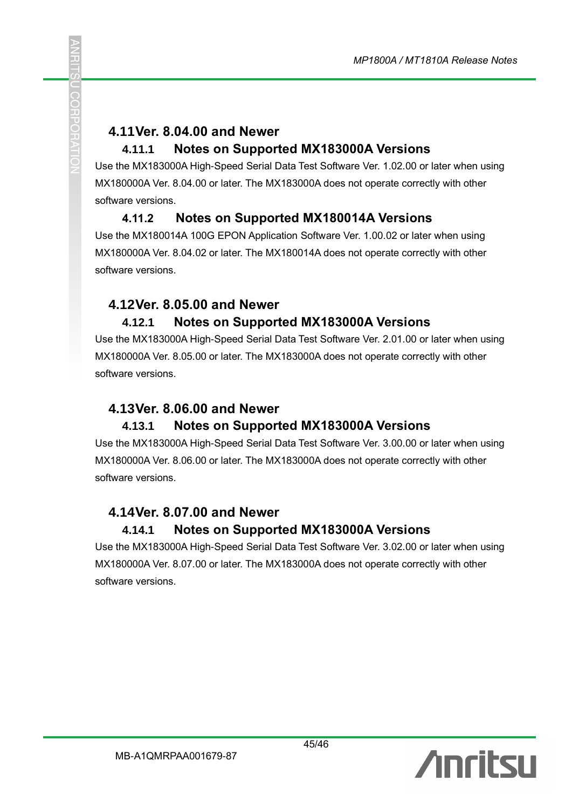# **4.11Ver. 8.04.00 and Newer**

#### **4.11.1 Notes on Supported MX183000A Versions**

Use the MX183000A High-Speed Serial Data Test Software Ver. 1.02.00 or later when using MX180000A Ver. 8.04.00 or later. The MX183000A does not operate correctly with other software versions.

#### **4.11.2 Notes on Supported MX180014A Versions**

Use the MX180014A 100G EPON Application Software Ver. 1.00.02 or later when using MX180000A Ver. 8.04.02 or later. The MX180014A does not operate correctly with other software versions.

# **4.12Ver. 8.05.00 and Newer**

# **4.12.1 Notes on Supported MX183000A Versions**

Use the MX183000A High-Speed Serial Data Test Software Ver. 2.01.00 or later when using MX180000A Ver. 8.05.00 or later. The MX183000A does not operate correctly with other software versions.

#### **4.13Ver. 8.06.00 and Newer 4.13.1 Notes on Supported MX183000A Versions**

Use the MX183000A High-Speed Serial Data Test Software Ver. 3.00.00 or later when using MX180000A Ver. 8.06.00 or later. The MX183000A does not operate correctly with other software versions.

# **4.14Ver. 8.07.00 and Newer**

# **4.14.1 Notes on Supported MX183000A Versions**

Use the MX183000A High-Speed Serial Data Test Software Ver. 3.02.00 or later when using MX180000A Ver. 8.07.00 or later. The MX183000A does not operate correctly with other software versions.